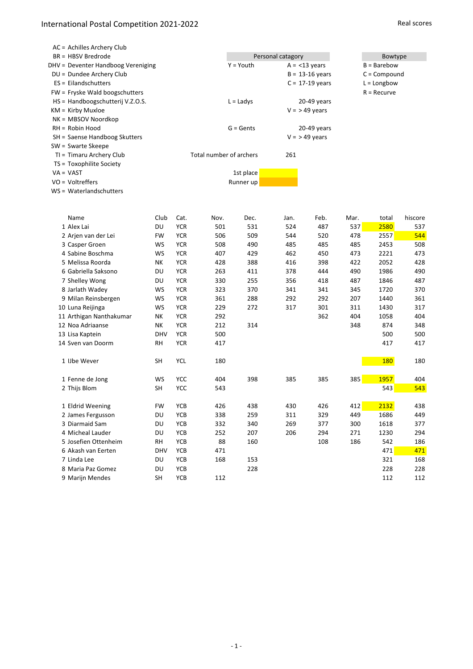#### International Postal Competition 2021-2022 And the state of the state of the Real scores

| AC = Achilles Archery Club         |           |            |                         |             |                   |                     |                |               |                |  |  |
|------------------------------------|-----------|------------|-------------------------|-------------|-------------------|---------------------|----------------|---------------|----------------|--|--|
| $BR = HBSV Bredrode$               |           |            |                         |             | Personal catagory |                     |                | Bowtype       |                |  |  |
| DHV = Deventer Handboog Vereniging |           |            |                         | $Y = Youth$ |                   | $A = < 13$ years    |                |               | $B = B$ arebow |  |  |
| DU = Dundee Archery Club           |           |            |                         |             |                   | $B = 13 - 16$ years | $C = Compound$ |               |                |  |  |
| ES = Eilandschutters               |           |            |                         |             |                   | $C = 17-19$ years   |                | $L =$ Longbow |                |  |  |
| FW = Fryske Wald boogschutters     |           |            |                         |             |                   |                     |                | $R = Recurve$ |                |  |  |
| HS = Handboogschutterij V.Z.O.S.   |           |            |                         | $L =$ Ladys |                   | 20-49 years         |                |               |                |  |  |
| $KM =$ Kirby Muxloe                |           |            |                         |             |                   | $V = 949$ years     |                |               |                |  |  |
| NK = MBSOV Noordkop                |           |            |                         |             |                   |                     |                |               |                |  |  |
| $RH = Robin Hood$                  |           |            |                         | $G = Gents$ |                   | $20-49$ years       |                |               |                |  |  |
| SH = Saense Handboog Skutters      |           |            |                         |             |                   | $V = 949$ years     |                |               |                |  |  |
| SW = Swarte Skeepe                 |           |            |                         |             |                   |                     |                |               |                |  |  |
| TI = Timaru Archery Club           |           |            | Total number of archers |             | 261               |                     |                |               |                |  |  |
| TS = Toxophilite Society           |           |            |                         |             |                   |                     |                |               |                |  |  |
| $VA = VAST$                        |           |            |                         | 1st place   |                   |                     |                |               |                |  |  |
| $VO = Voltreffers$                 |           |            |                         | Runner up   |                   |                     |                |               |                |  |  |
| WS = Waterlandschutters            |           |            |                         |             |                   |                     |                |               |                |  |  |
|                                    |           |            |                         |             |                   |                     |                |               |                |  |  |
| Name                               | Club      | Cat.       | Nov.                    | Dec.        | Jan.              | Feb.                | Mar.           | total         | hiscore        |  |  |
| 1 Alex Lai                         | DU        | <b>YCR</b> | 501                     | 531         | 524               | 487                 | 537            | 2580          | 537            |  |  |
| 2 Arjen van der Lei                | <b>FW</b> | <b>YCR</b> | 506                     | 509         | 544               | 520                 | 478            | 2557          | 544            |  |  |
| 3 Casper Groen                     | WS        | <b>YCR</b> | 508                     | 490         | 485               | 485                 | 485            | 2453          | 508            |  |  |
| 4 Sabine Boschma                   | WS        | <b>YCR</b> | 407                     | 429         | 462               | 450                 | 473            | 2221          | 473            |  |  |
| 5 Melissa Roorda                   | NΚ        | <b>YCR</b> | 428                     | 388         | 416               | 398                 | 422            | 2052          | 428            |  |  |
| 6 Gabriella Saksono                | DU        | <b>YCR</b> | 263                     | 411         | 378               | 444                 | 490            | 1986          | 490            |  |  |
| 7 Shelley Wong                     | DU        | <b>YCR</b> | 330                     | 255         | 356               | 418                 | 487            | 1846          | 487            |  |  |
|                                    |           |            |                         |             |                   |                     |                |               |                |  |  |

| 4 Sabine Boschma        | WS         | <b>YCR</b> | 407 | 429 | 462 | 450 | 473 | 2221       | 473 |
|-------------------------|------------|------------|-----|-----|-----|-----|-----|------------|-----|
| 5 Melissa Roorda        | <b>NK</b>  | <b>YCR</b> | 428 | 388 | 416 | 398 | 422 | 2052       | 428 |
| 6 Gabriella Saksono     | DU         | <b>YCR</b> | 263 | 411 | 378 | 444 | 490 | 1986       | 490 |
| 7 Shelley Wong          | DU         | <b>YCR</b> | 330 | 255 | 356 | 418 | 487 | 1846       | 487 |
| 8 Jarlath Wadey         | WS         | <b>YCR</b> | 323 | 370 | 341 | 341 | 345 | 1720       | 370 |
| 9 Milan Reinsbergen     | WS         | <b>YCR</b> | 361 | 288 | 292 | 292 | 207 | 1440       | 361 |
| 10 Luna Reijinga        | WS         | <b>YCR</b> | 229 | 272 | 317 | 301 | 311 | 1430       | 317 |
| 11 Arthigan Nanthakumar | NΚ         | <b>YCR</b> | 292 |     |     | 362 | 404 | 1058       | 404 |
| 12 Noa Adriaanse        | <b>NK</b>  | <b>YCR</b> | 212 | 314 |     |     | 348 | 874        | 348 |
| 13 Lisa Kaptein         | <b>DHV</b> | <b>YCR</b> | 500 |     |     |     |     | 500        | 500 |
| 14 Sven van Doorm       | <b>RH</b>  | <b>YCR</b> | 417 |     |     |     |     | 417        | 417 |
| 1 IJbe Wever            | SH         | <b>YCL</b> | 180 |     |     |     |     | <b>180</b> | 180 |
| 1 Fenne de Jong         | WS         | <b>YCC</b> | 404 | 398 | 385 | 385 | 385 | 1957       | 404 |
| 2 Thijs Blom            | <b>SH</b>  | <b>YCC</b> | 543 |     |     |     |     | 543        | 543 |
| 1 Eldrid Weening        | <b>FW</b>  | <b>YCB</b> | 426 | 438 | 430 | 426 | 412 | 2132       | 438 |
| 2 James Fergusson       | DU         | <b>YCB</b> | 338 | 259 | 311 | 329 | 449 | 1686       | 449 |
| 3 Diarmaid Sam          | DU         | <b>YCB</b> | 332 | 340 | 269 | 377 | 300 | 1618       | 377 |
| 4 Micheal Lauder        | DU         | <b>YCB</b> | 252 | 207 | 206 | 294 | 271 | 1230       | 294 |
| 5 Josefien Ottenheim    | <b>RH</b>  | <b>YCB</b> | 88  | 160 |     | 108 | 186 | 542        | 186 |
| 6 Akash van Eerten      | <b>DHV</b> | <b>YCB</b> | 471 |     |     |     |     | 471        | 471 |
| 7 Linda Lee             | DU         | <b>YCB</b> | 168 | 153 |     |     |     | 321        | 168 |
| 8 Maria Paz Gomez       | DU         | <b>YCB</b> |     | 228 |     |     |     | 228        | 228 |

9 Marijn Mendes 65H YCB 112 112 112 112 112

 $\sim 1$  -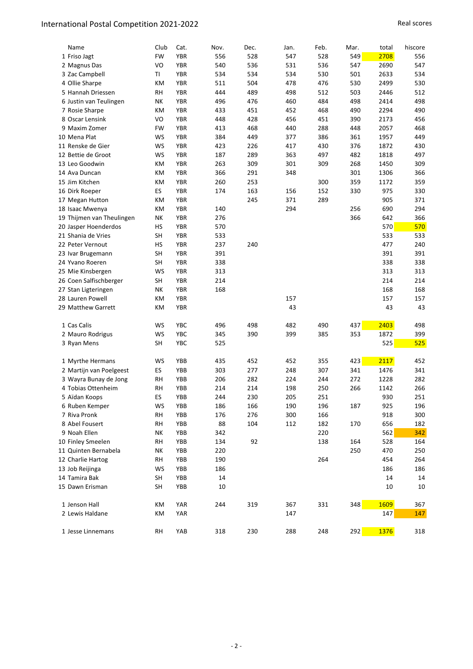| Name                                        | Club      | Cat.       | Nov. | Dec. | Jan. | Feb. | Mar. | total | hiscore |
|---------------------------------------------|-----------|------------|------|------|------|------|------|-------|---------|
| 1 Friso Jagt                                | <b>FW</b> | <b>YBR</b> | 556  | 528  | 547  | 528  | 549  | 2708  | 556     |
| 2 Magnus Das                                | VO        | <b>YBR</b> | 540  | 536  | 531  | 536  | 547  | 2690  | 547     |
| 3 Zac Campbell                              | TI        | <b>YBR</b> | 534  | 534  | 534  | 530  | 501  | 2633  | 534     |
| 4 Ollie Sharpe                              | KM        | <b>YBR</b> | 511  | 504  | 478  | 476  | 530  | 2499  | 530     |
| 5 Hannah Driessen                           | <b>RH</b> | <b>YBR</b> | 444  | 489  | 498  | 512  | 503  | 2446  | 512     |
| 6 Justin van Teulingen                      | NΚ        | <b>YBR</b> | 496  | 476  | 460  | 484  | 498  | 2414  | 498     |
| 7 Rosie Sharpe                              | KM        | <b>YBR</b> | 433  | 451  | 452  | 468  | 490  | 2294  | 490     |
| 8 Oscar Lensink                             | VO        | <b>YBR</b> | 448  | 428  | 456  | 451  | 390  | 2173  | 456     |
| 9 Maxim Zomer                               | <b>FW</b> | <b>YBR</b> | 413  | 468  | 440  | 288  | 448  | 2057  | 468     |
| 10 Mena Plat                                | WS        | <b>YBR</b> | 384  | 449  | 377  | 386  | 361  | 1957  | 449     |
| 11 Renske de Gier                           | WS        | <b>YBR</b> | 423  | 226  | 417  | 430  | 376  | 1872  | 430     |
| 12 Bettie de Groot                          | WS        | <b>YBR</b> | 187  | 289  | 363  | 497  | 482  | 1818  | 497     |
| 13 Leo Goodwin                              | KM        | <b>YBR</b> | 263  | 309  | 301  | 309  | 268  | 1450  | 309     |
| 14 Ava Duncan                               | КM        | <b>YBR</b> | 366  | 291  | 348  |      | 301  | 1306  | 366     |
| 15 Jim Kitchen                              | KM        | <b>YBR</b> | 260  | 253  |      | 300  | 359  | 1172  | 359     |
| 16 Dirk Roeper                              | ES        | <b>YBR</b> | 174  | 163  | 156  | 152  | 330  | 975   | 330     |
| 17 Megan Hutton                             | KM        | <b>YBR</b> |      | 245  | 371  | 289  |      | 905   | 371     |
| 18 Isaac Mwenya                             | KM        | <b>YBR</b> | 140  |      | 294  |      | 256  | 690   | 294     |
| 19 Thijmen van Theulingen                   | NΚ        | <b>YBR</b> | 276  |      |      |      | 366  | 642   | 366     |
| 20 Jasper Hoenderdos                        | HS        | <b>YBR</b> | 570  |      |      |      |      | 570   | 570     |
| 21 Shania de Vries                          | <b>SH</b> | <b>YBR</b> | 533  |      |      |      |      | 533   | 533     |
| 22 Peter Vernout                            | HS        | <b>YBR</b> | 237  | 240  |      |      |      | 477   | 240     |
| 23 Ivar Brugemann                           | <b>SH</b> | <b>YBR</b> | 391  |      |      |      |      | 391   | 391     |
| 24 Yvano Roeren                             | <b>SH</b> | <b>YBR</b> | 338  |      |      |      |      | 338   | 338     |
| 25 Mie Kinsbergen                           | WS        | <b>YBR</b> | 313  |      |      |      |      | 313   | 313     |
| 26 Coen Salfischberger                      | <b>SH</b> | <b>YBR</b> | 214  |      |      |      |      | 214   | 214     |
| 27 Stan Ligteringen                         | NK        | <b>YBR</b> | 168  |      |      |      |      | 168   | 168     |
| 28 Lauren Powell                            | KM        | <b>YBR</b> |      |      | 157  |      |      | 157   | 157     |
| 29 Matthew Garrett                          | КM        | <b>YBR</b> |      |      | 43   |      |      | 43    | 43      |
| 1 Cas Calis                                 | WS        | <b>YBC</b> | 496  | 498  | 482  | 490  | 437  | 2403  | 498     |
| 2 Mauro Rodrigus                            | WS        | YBC        | 345  | 390  | 399  | 385  | 353  | 1872  | 399     |
| 3 Ryan Mens                                 | SH        | <b>YBC</b> | 525  |      |      |      |      | 525   | 525     |
|                                             |           | YBB        | 435  | 452  | 452  | 355  | 423  | 2117  | 452     |
| 1 Myrthe Hermans<br>2 Martijn van Poelgeest | WS<br>ES  | YBB        | 303  | 277  | 248  | 307  | 341  | 1476  | 341     |
| 3 Wayra Bunay de Jong                       | RH        | YBB        | 206  | 282  | 224  | 244  | 272  | 1228  | 282     |
| 4 Tobias Ottenheim                          | <b>RH</b> | YBB        | 214  | 214  | 198  | 250  | 266  | 1142  | 266     |
| 5 Aïdan Koops                               | ES        | YBB        | 244  | 230  | 205  | 251  |      | 930   | 251     |
| 6 Ruben Kemper                              | WS        | YBB        | 186  | 166  | 190  | 196  | 187  | 925   | 196     |
| 7 Riva Pronk                                | RH        | YBB        | 176  | 276  | 300  | 166  |      | 918   | 300     |
| 8 Abel Fousert                              | <b>RH</b> | YBB        | 88   | 104  | 112  | 182  | 170  | 656   | 182     |
| 9 Noah Ellen                                | NΚ        | YBB        | 342  |      |      | 220  |      | 562   | 342     |
| 10 Finley Smeelen                           | RH        | YBB        | 134  | 92   |      | 138  | 164  | 528   | 164     |
| 11 Quinten Bernabela                        | NΚ        | YBB        | 220  |      |      |      | 250  | 470   | 250     |
| 12 Charlie Hartog                           | RH        | YBB        | 190  |      |      | 264  |      | 454   | 264     |
| 13 Job Reijinga                             | WS        | YBB        | 186  |      |      |      |      | 186   | 186     |
| 14 Tamira Bak                               | <b>SH</b> | YBB        | 14   |      |      |      |      | 14    | 14      |
| 15 Dawn Erisman                             | SH        | YBB        | 10   |      |      |      |      | 10    | 10      |
|                                             |           |            |      |      |      |      |      |       |         |
| 1 Jenson Hall                               | KM        | YAR        | 244  | 319  | 367  | 331  | 348  | 1609  | 367     |
| 2 Lewis Haldane                             | КM        | YAR        |      |      | 147  |      |      | 147   | 147     |
| 1 Jesse Linnemans                           | <b>RH</b> | YAB        | 318  | 230  | 288  | 248  | 292  | 1376  | 318     |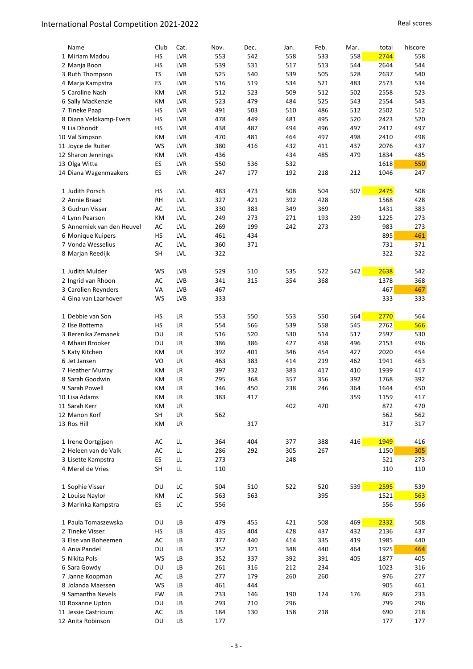| Name                                       | Club            | Cat.       | Nov.       | Dec.       | Jan.       | Feb.       | Mar. | total | hiscore    |
|--------------------------------------------|-----------------|------------|------------|------------|------------|------------|------|-------|------------|
| 1 Miriam Madou                             | HS              | LVR        | 553        | 542        | 558        | 533        | 558  | 2744  | 558        |
| 2 Manja Boon                               | HS              | LVR        | 539        | 531        | 517        | 513        | 544  | 2644  | 544        |
| 3 Ruth Thompson                            | TS              | LVR        | 525        | 540        | 539        | 505        | 528  | 2637  | 540        |
| 4 Marja Kampstra                           | ES              | LVR        | 516        | 519        | 534        | 521        | 483  | 2573  | 534        |
| 5 Caroline Nash                            | КM              | LVR        | 512        | 523        | 509        | 512        | 502  | 2558  | 523        |
| 6 Sally MacKenzie                          | КM              | LVR        | 523        | 479        | 484        | 525        | 543  | 2554  | 543        |
| 7 Tineke Paap                              | HS              | LVR        | 491        | 503        | 510        | 486        | 512  | 2502  | 512        |
| 8 Diana Veldkamp-Evers                     | HS              | LVR        | 478        | 449        | 481        | 495        | 520  | 2423  | 520        |
| 9 Lia Dhondt                               | HS              | LVR        | 438        | 487        | 494        | 496        | 497  | 2412  | 497        |
| 10 Val Simpson                             | КM              | LVR        | 470        | 481        | 464        | 497        | 498  | 2410  | 498        |
| 11 Joyce de Ruiter                         | WS              | LVR        | 380        | 416        | 432        | 411        | 437  | 2076  | 437        |
| 12 Sharon Jennings                         | КM              | LVR        | 436        |            | 434        | 485        | 479  | 1834  | 485        |
| 13 Olga Witte                              | ES              | LVR        | 550        | 536        | 532        |            |      | 1618  | 550        |
| 14 Diana Wagenmaakers                      | ES              | LVR        | 247        | 177        | 192        | 218        | 212  | 1046  | 247        |
|                                            |                 |            |            |            |            |            |      |       |            |
| 1 Judith Porsch                            | HS.             | LVL        | 483        | 473        | 508        | 504        | 507  | 2475  | 508        |
| 2 Annie Braad                              | <b>RH</b>       | LVL        | 327        | 421        | 392        | 428        |      | 1568  | 428        |
| 3 Gudrun Visser                            | AC              | LVL        | 330        | 383        | 349        | 369        |      | 1431  | 383        |
| 4 Lynn Pearson                             | KM              | LVL        | 249        | 273        | 271        | 193        | 239  | 1225  | 273        |
| 5 Annemiek van den Heuvel                  | AC              | LVL        | 269        | 199        | 242        | 273        |      | 983   | 273        |
| 6 Monique Kuipers                          | HS              | <b>LVL</b> | 461        | 434        |            |            |      | 895   | 461        |
| 7 Vonda Wesselius                          | AC              | LVL        | 360        | 371        |            |            |      | 731   | 371        |
| 8 Marjan Reedijk                           | SH              | LVL        | 322        |            |            |            |      | 322   | 322        |
|                                            |                 |            |            |            |            |            |      |       |            |
| 1 Judith Mulder                            | WS              | LVB        | 529        | 510        | 535        | 522        | 542  | 2638  | 542        |
| 2 Ingrid van Rhoon                         | AC              | LVB        | 341        | 315        | 354        | 368        |      | 1378  | 368        |
| 3 Carolien Reynders                        | VA              | LVB        | 467        |            |            |            |      | 467   | 467        |
| 4 Gina van Laarhoven                       | WS              | LVB        | 333        |            |            |            |      | 333   | 333        |
|                                            |                 |            |            |            |            |            |      |       |            |
| 1 Debbie van Son                           | НS              | LR         | 553        | 550        | 553        | 550        | 564  | 2770  | 564        |
| 2 Ilse Bottema                             | <b>HS</b>       | LR         | 554        | 566        | 539        | 558        | 545  | 2762  | 566        |
| 3 Berenika Zemanek                         | DU              | LR         | 516        | 520        | 530        | 514        | 517  | 2597  | 530        |
| 4 Mhairi Brooker                           | DU              | LR         | 386        | 386        | 427        | 458        | 496  | 2153  | 496        |
| 5 Katy Kitchen                             | КM              | LR         | 392        | 401        | 346        | 454        | 427  | 2020  | 454        |
| 6 Jet Jansen                               | VO              | LR         | 463        | 383        | 414        | 219        | 462  | 1941  | 463        |
| 7 Heather Murray                           | КM              | LR         | 397        | 332        | 383        | 417        | 410  | 1939  | 417        |
| 8 Sarah Goodwin                            | КM              | LR         | 295        | 368        | 357        | 356        | 392  | 1768  | 392        |
| 9 Sarah Powell                             | КM              | <b>LR</b>  | 346        | 450        | 238        | 246        | 364  | 1644  | 450        |
| 10 Lisa Adams                              | KM              | LR         | 383        | 417        |            |            | 359  | 1159  | 417        |
| 11 Sarah Kerr                              | KM              | LR         |            |            | 402        | 470        |      | 872   | 470        |
| 12 Manon Korf                              | SH              | ${\sf LR}$ | 562        |            |            |            |      | 562   | 562        |
| 13 Ros Hill                                | KM              | LR         |            | 317        |            |            |      | 317   | 317        |
|                                            |                 |            |            |            |            |            |      | 1949  |            |
| 1 Irene Oortgijsen<br>2 Heleen van de Valk | AC              | LL<br>LL   | 364<br>286 | 404<br>292 | 377<br>305 | 388<br>267 | 416  | 1150  | 416<br>305 |
| 3 Lisette Kampstra                         | AC<br><b>ES</b> | LL         |            |            | 248        |            |      | 521   | 273        |
| 4 Merel de Vries                           |                 | LL         | 273        |            |            |            |      |       |            |
|                                            | SH              |            | 110        |            |            |            |      | 110   | 110        |
| 1 Sophie Visser                            | DU              | LC         | 504        | 510        | 522        | 520        | 539  | 2595  | 539        |
| 2 Louise Naylor                            |                 | LC         |            | 563        |            | 395        |      | 1521  | 563        |
| 3 Marinka Kampstra                         | КM<br><b>ES</b> | LC         | 563<br>556 |            |            |            |      | 556   | 556        |
|                                            |                 |            |            |            |            |            |      |       |            |
| 1 Paula Tomaszewska                        | DU              | LB         | 479        | 455        | 421        | 508        | 469  | 2332  | 508        |
| 2 Tineke Visser                            | НS              | LB         | 435        | 404        | 428        | 437        | 432  | 2136  | 437        |
| 3 Else van Boheemen                        | AC              | LB         | 377        | 440        | 414        | 335        | 419  | 1985  | 440        |
| 4 Ania Pandel                              | DU              | LB         | 352        | 321        | 348        | 440        | 464  | 1925  | 464        |
| 5 Nikita Pols                              | WS              | LB         | 352        | 337        | 392        | 391        | 405  | 1877  | 405        |
| 6 Sara Gowdy                               | DU              | LB         | 261        | 316        | 212        | 234        |      | 1023  | 316        |
| 7 Janne Koopman                            | AC              | LB         | 277        | 179        | 260        | 260        |      | 976   | 277        |
| 8 Jolanda Maessen                          | WS              | LB         | 461        | 444        |            |            |      | 905   | 461        |
| 9 Samantha Nevels                          | FW              | LB         | 233        | 146        | 190        | 124        | 176  | 869   | 233        |
| 10 Roxanne Upton                           | DU              | LB         | 293        | 210        | 296        |            |      | 799   | 296        |
| 11 Jessie Castricum                        | AC              | LB         | 184        | 130        | 158        | 218        |      | 690   | 218        |
| 12 Anita Robinson                          | DU              | LB         | 177        |            |            |            |      | 177   | 177        |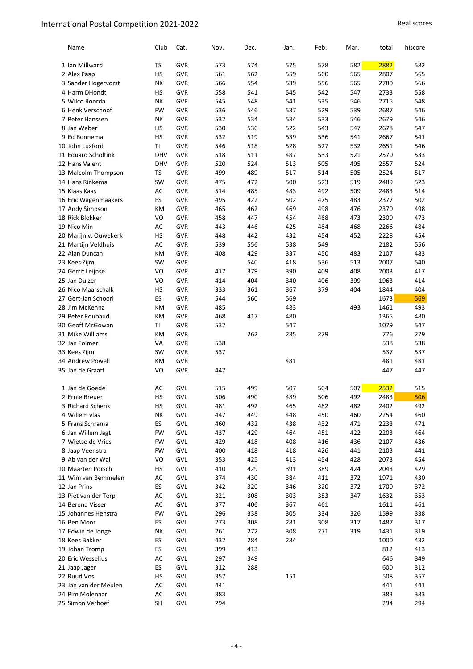| Name                  | Club       | Cat.       | Nov. | Dec. | Jan. | Feb. | Mar. | total | hiscore |
|-----------------------|------------|------------|------|------|------|------|------|-------|---------|
| 1 Ian Millward        | TS         | <b>GVR</b> | 573  | 574  | 575  | 578  | 582  | 2882  | 582     |
| 2 Alex Paap           | HS         | <b>GVR</b> | 561  | 562  | 559  | 560  | 565  | 2807  | 565     |
| 3 Sander Hogervorst   | NK         | GVR        | 566  | 554  | 539  | 556  | 565  | 2780  | 566     |
| 4 Harm DHondt         | HS         | GVR        | 558  | 541  | 545  | 542  | 547  | 2733  | 558     |
| 5 Wilco Roorda        | NΚ         | GVR        | 545  | 548  | 541  | 535  | 546  | 2715  | 548     |
| 6 Henk Verschoof      | <b>FW</b>  | GVR        | 536  | 546  | 537  | 529  | 539  | 2687  | 546     |
| 7 Peter Hanssen       | NΚ         | <b>GVR</b> | 532  | 534  | 534  | 533  | 546  | 2679  | 546     |
| 8 Jan Weber           | HS         | GVR        | 530  | 536  | 522  | 543  | 547  | 2678  | 547     |
| 9 Ed Bonnema          | HS         | <b>GVR</b> | 532  | 519  | 539  | 536  | 541  | 2667  | 541     |
| 10 John Luxford       | TI         | GVR        | 546  | 518  | 528  | 527  | 532  | 2651  | 546     |
| 11 Eduard Scholtink   | <b>DHV</b> | <b>GVR</b> | 518  | 511  | 487  | 533  | 521  | 2570  | 533     |
| 12 Hans Valent        | <b>DHV</b> | GVR        | 520  | 524  | 513  | 505  | 495  | 2557  | 524     |
| 13 Malcolm Thompson   | TS         | <b>GVR</b> | 499  | 489  | 517  | 514  | 505  | 2524  | 517     |
| 14 Hans Rinkema       | SW         | GVR        | 475  | 472  | 500  | 523  | 519  | 2489  | 523     |
| 15 Klaas Kaas         | AC         | <b>GVR</b> | 514  | 485  | 483  | 492  | 509  | 2483  | 514     |
| 16 Eric Wagenmaakers  | <b>ES</b>  | GVR        | 495  | 422  | 502  | 475  | 483  | 2377  | 502     |
| 17 Andy Simpson       | KM         | GVR        | 465  | 462  | 469  | 498  | 476  | 2370  | 498     |
| 18 Rick Blokker       | VO         | GVR        | 458  | 447  | 454  | 468  | 473  | 2300  | 473     |
| 19 Nico Min           | AC         | <b>GVR</b> | 443  | 446  | 425  | 484  | 468  | 2266  | 484     |
| 20 Marijn v. Ouwekerk | HS         | GVR        | 448  | 442  | 432  | 454  | 452  | 2228  | 454     |
| 21 Martijn Veldhuis   | AC         | GVR        | 539  | 556  | 538  | 549  |      | 2182  | 556     |
| 22 Alan Duncan        | КM         | GVR        | 408  | 429  | 337  | 450  | 483  | 2107  | 483     |
| 23 Kees Zijm          | SW         | <b>GVR</b> |      | 540  | 418  | 536  | 513  | 2007  | 540     |
| 24 Gerrit Leijnse     | VO         | GVR        | 417  | 379  | 390  | 409  | 408  | 2003  | 417     |
| 25 Jan Duizer         | VO         | <b>GVR</b> | 414  | 404  | 340  | 406  | 399  | 1963  | 414     |
| 26 Nico Maarschalk    | HS         | <b>GVR</b> | 333  | 361  | 367  | 379  | 404  | 1844  | 404     |
| 27 Gert-Jan Schoorl   | ES         | GVR        | 544  | 560  | 569  |      |      | 1673  | 569     |
| 28 Jim McKenna        | КM         | <b>GVR</b> | 485  |      | 483  |      | 493  | 1461  | 493     |
| 29 Peter Roubaud      | KM         | GVR        | 468  | 417  | 480  |      |      | 1365  | 480     |
| 30 Geoff McGowan      | ΤI         | GVR        | 532  |      | 547  |      |      | 1079  | 547     |
| 31 Mike Williams      | KM         | GVR        |      | 262  | 235  | 279  |      | 776   | 279     |
| 32 Jan Folmer         | VA         | <b>GVR</b> | 538  |      |      |      |      | 538   | 538     |
| 33 Kees Zijm          | SW         | GVR        | 537  |      |      |      |      | 537   | 537     |
| 34 Andrew Powell      | КM         | <b>GVR</b> |      |      | 481  |      |      | 481   | 481     |
| 35 Jan de Graaff      | VO         | GVR        | 447  |      |      |      |      | 447   | 447     |
|                       |            |            |      |      |      |      |      |       |         |
| 1 Jan de Goede        | AC         | GVL        | 515  | 499  | 507  | 504  | 507  | 2532  | 515     |
| 2 Ernie Breuer        | HS         | GVL        | 506  | 490  | 489  | 506  | 492  | 2483  | 506     |
| 3 Richard Schenk      | HS         | GVL        | 481  | 492  | 465  | 482  | 482  | 2402  | 492     |
| 4 Willem vlas         | NΚ         | GVL        | 447  | 449  | 448  | 450  | 460  | 2254  | 460     |
| 5 Frans Schrama       | <b>ES</b>  | GVL        | 460  | 432  | 438  | 432  | 471  | 2233  | 471     |
| 6 Jan Willem Jagt     | <b>FW</b>  | GVL        | 437  | 429  | 464  | 451  | 422  | 2203  | 464     |
| 7 Wietse de Vries     | FW         | GVL        | 429  | 418  | 408  | 416  | 436  | 2107  | 436     |
| 8 Jaap Veenstra       | FW         | GVL        | 400  | 418  | 418  | 426  | 441  | 2103  | 441     |
| 9 Ab van der Wal      | VO         | GVL        | 353  | 425  | 413  | 454  | 428  | 2073  | 454     |
| 10 Maarten Porsch     | НS         | GVL        | 410  | 429  | 391  | 389  | 424  | 2043  | 429     |
| 11 Wim van Bemmelen   | AC         | GVL        | 374  | 430  | 384  | 411  | 372  | 1971  | 430     |
| 12 Jan Prins          | ES         | GVL        | 342  | 320  | 346  | 320  | 372  | 1700  | 372     |
| 13 Piet van der Terp  | AC         | GVL        | 321  | 308  | 303  | 353  | 347  | 1632  | 353     |
| 14 Berend Visser      | AC         | GVL        | 377  | 406  | 367  | 461  |      | 1611  | 461     |
| 15 Johannes Henstra   | FW         | GVL        | 296  | 338  | 305  | 334  | 326  | 1599  | 338     |
| 16 Ben Moor           | <b>ES</b>  | GVL        | 273  | 308  | 281  | 308  | 317  | 1487  | 317     |
| 17 Edwin de Jonge     | NΚ         | GVL        | 261  | 272  | 308  | 271  | 319  | 1431  | 319     |
| 18 Kees Bakker        | ES         | GVL        | 432  | 284  | 284  |      |      | 1000  | 432     |
| 19 Johan Tromp        | <b>ES</b>  | GVL        | 399  | 413  |      |      |      | 812   | 413     |
| 20 Eric Wesselius     | AC         | GVL        | 297  | 349  |      |      |      | 646   | 349     |
| 21 Jaap Jager         | <b>ES</b>  | GVL        | 312  | 288  |      |      |      | 600   | 312     |
| 22 Ruud Vos           | <b>HS</b>  | GVL        | 357  |      | 151  |      |      | 508   | 357     |
| 23 Jan van der Meulen | AC         | GVL        | 441  |      |      |      |      | 441   | 441     |
| 24 Pim Molenaar       | AC         | GVL        | 383  |      |      |      |      | 383   | 383     |
| 25 Simon Verhoef      | SH         | GVL        | 294  |      |      |      |      | 294   | 294     |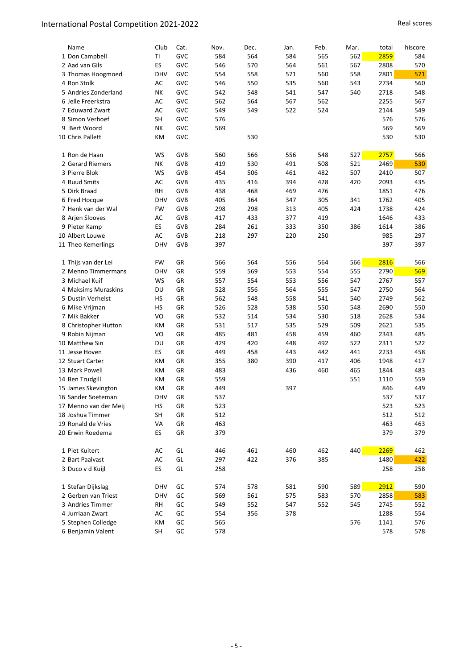| Name                  | Club       | Cat.       | Nov. | Dec. | Jan. | Feb. | Mar. | total | hiscore |
|-----------------------|------------|------------|------|------|------|------|------|-------|---------|
| 1 Don Campbell        | TI         | GVC        | 584  | 564  | 584  | 565  | 562  | 2859  | 584     |
| 2 Aad van Gils        | ES         | GVC        | 546  | 570  | 564  | 561  | 567  | 2808  | 570     |
| 3 Thomas Hoogmoed     | <b>DHV</b> | GVC        | 554  | 558  | 571  | 560  | 558  | 2801  | 571     |
| 4 Ron Stolk           | AC         | GVC        | 546  | 550  | 535  | 560  | 543  | 2734  | 560     |
| 5 Andries Zonderland  | NΚ         | GVC        | 542  | 548  | 541  | 547  | 540  | 2718  | 548     |
| 6 Jelle Freerkstra    | AC         | GVC        | 562  | 564  | 567  | 562  |      | 2255  | 567     |
| 7 Eduward Zwart       | AC         | GVC        | 549  | 549  | 522  | 524  |      | 2144  | 549     |
| 8 Simon Verhoef       | <b>SH</b>  | GVC        | 576  |      |      |      |      | 576   | 576     |
| 9 Bert Woord          | NΚ         | GVC        | 569  |      |      |      |      | 569   | 569     |
| 10 Chris Pallett      | KM         | GVC        |      | 530  |      |      |      | 530   | 530     |
| 1 Ron de Haan         | WS         | <b>GVB</b> | 560  | 566  | 556  | 548  | 527  | 2757  | 566     |
| 2 Gerard Riemers      | NΚ         | <b>GVB</b> | 419  | 530  | 491  | 508  | 521  | 2469  | 530     |
| 3 Pierre Blok         | WS         | GVB        | 454  | 506  | 461  | 482  | 507  | 2410  | 507     |
| 4 Ruud Smits          | AC         | <b>GVB</b> | 435  | 416  | 394  | 428  | 420  | 2093  | 435     |
| 5 Dirk Braad          | <b>RH</b>  | GVB        | 438  | 468  | 469  | 476  |      | 1851  | 476     |
| 6 Fred Hocque         | <b>DHV</b> | <b>GVB</b> | 405  | 364  | 347  | 305  | 341  | 1762  | 405     |
| 7 Henk van der Wal    | <b>FW</b>  | <b>GVB</b> | 298  | 298  | 313  | 405  | 424  | 1738  | 424     |
| 8 Arien Slooves       | AC         | GVB        | 417  | 433  | 377  | 419  |      | 1646  | 433     |
| 9 Pieter Kamp         | ES         | GVB        | 284  | 261  | 333  | 350  | 386  | 1614  | 386     |
| 10 Albert Louwe       | AC         | GVB        | 218  | 297  | 220  | 250  |      | 985   | 297     |
| 11 Theo Kemerlings    | <b>DHV</b> | GVB        | 397  |      |      |      |      | 397   | 397     |
| 1 Thijs van der Lei   | FW         | GR         | 566  | 564  | 556  | 564  | 566  | 2816  | 566     |
| 2 Menno Timmermans    | <b>DHV</b> | GR         | 559  | 569  | 553  | 554  | 555  | 2790  | 569     |
| 3 Michael Kuif        | WS         | GR         | 557  | 554  | 553  | 556  | 547  | 2767  | 557     |
| 4 Maksims Muraskins   | DU         | GR         | 528  | 556  | 564  | 555  | 547  | 2750  | 564     |
| 5 Dustin Verhelst     | HS         | GR         | 562  | 548  | 558  | 541  | 540  | 2749  | 562     |
| 6 Mike Vrijman        | HS         | GR         | 526  | 528  | 538  | 550  | 548  | 2690  | 550     |
| 7 Mik Bakker          | VO         | GR         | 532  | 514  | 534  | 530  | 518  | 2628  | 534     |
| 8 Christopher Hutton  | КM         | GR         | 531  | 517  | 535  | 529  | 509  | 2621  | 535     |
| 9 Robin Nijman        | VO         | GR         | 485  | 481  | 458  | 459  | 460  | 2343  | 485     |
| 10 Matthew Sin        | DU         | GR         | 429  | 420  | 448  | 492  | 522  | 2311  | 522     |
| 11 Jesse Hoven        | ES         | GR         | 449  | 458  | 443  | 442  | 441  | 2233  | 458     |
| 12 Stuart Carter      | KM         | GR         | 355  | 380  | 390  | 417  | 406  | 1948  | 417     |
| 13 Mark Powell        | KM         | GR         | 483  |      | 436  | 460  | 465  | 1844  | 483     |
| 14 Ben Trudgill       | КM         | GR         | 559  |      |      |      | 551  | 1110  | 559     |
| 15 James Skevington   | KM         | GR         | 449  |      | 397  |      |      | 846   | 449     |
| 16 Sander Soeteman    | DHV        | GR         | 537  |      |      |      |      | 537   | 537     |
| 17 Menno van der Meij | НS         | GR         | 523  |      |      |      |      | 523   | 523     |
| 18 Joshua Timmer      | SH         | GR         | 512  |      |      |      |      | 512   | 512     |
| 19 Ronald de Vries    | VA         | ${\sf GR}$ | 463  |      |      |      |      | 463   | 463     |
| 20 Erwin Roedema      | ES         | GR         | 379  |      |      |      |      | 379   | 379     |
| 1 Piet Kuitert        | AC         | GL         | 446  | 461  | 460  | 462  | 440  | 2269  | 462     |
| 2 Bart Paalvast       | AC         | GL         | 297  | 422  | 376  | 385  |      | 1480  | 422     |
| 3 Duco v d Kuijl      | <b>ES</b>  | GL         | 258  |      |      |      |      | 258   | 258     |
| 1 Stefan Dijkslag     | DHV        | GC         | 574  | 578  | 581  | 590  | 589  | 2912  | 590     |
| 2 Gerben van Triest   | DHV        | GC         | 569  | 561  | 575  | 583  | 570  | 2858  | 583     |
| 3 Andries Timmer      | RH         | GC         | 549  | 552  | 547  | 552  | 545  | 2745  | 552     |
| 4 Jurriaan Zwart      | AC         | GC         | 554  | 356  | 378  |      |      | 1288  | 554     |
| 5 Stephen Colledge    | КM         | GC         | 565  |      |      |      | 576  | 1141  | 576     |
| 6 Benjamin Valent     | SH         | GC         | 578  |      |      |      |      | 578   | 578     |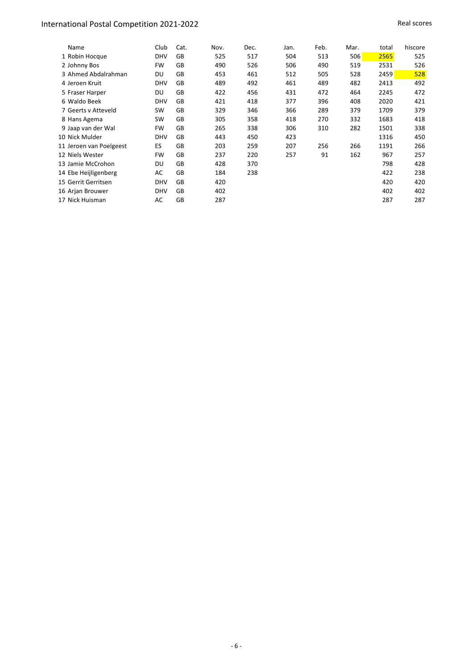| Name                    | Club       | Cat. | Nov. | Dec. | Jan. | Feb. | Mar. | total | hiscore |
|-------------------------|------------|------|------|------|------|------|------|-------|---------|
| 1 Robin Hocque          | <b>DHV</b> | GB   | 525  | 517  | 504  | 513  | 506  | 2565  | 525     |
| 2 Johnny Bos            | FW         | GB   | 490  | 526  | 506  | 490  | 519  | 2531  | 526     |
| 3 Ahmed Abdalrahman     | DU         | GB   | 453  | 461  | 512  | 505  | 528  | 2459  | 528     |
| 4 Jeroen Kruit          | <b>DHV</b> | GB   | 489  | 492  | 461  | 489  | 482  | 2413  | 492     |
| 5 Fraser Harper         | DU         | GB   | 422  | 456  | 431  | 472  | 464  | 2245  | 472     |
| 6 Waldo Beek            | <b>DHV</b> | GB   | 421  | 418  | 377  | 396  | 408  | 2020  | 421     |
| 7 Geerts v Atteveld     | <b>SW</b>  | GB   | 329  | 346  | 366  | 289  | 379  | 1709  | 379     |
| 8 Hans Agema            | SW         | GB   | 305  | 358  | 418  | 270  | 332  | 1683  | 418     |
| 9 Jaap van der Wal      | FW         | GB   | 265  | 338  | 306  | 310  | 282  | 1501  | 338     |
| 10 Nick Mulder          | <b>DHV</b> | GB   | 443  | 450  | 423  |      |      | 1316  | 450     |
| 11 Jeroen van Poelgeest | ES         | GB   | 203  | 259  | 207  | 256  | 266  | 1191  | 266     |
| 12 Niels Wester         | <b>FW</b>  | GB   | 237  | 220  | 257  | 91   | 162  | 967   | 257     |
| 13 Jamie McCrohon       | DU         | GB   | 428  | 370  |      |      |      | 798   | 428     |
| 14 Ebe Heijligenberg    | AC         | GB   | 184  | 238  |      |      |      | 422   | 238     |
| 15 Gerrit Gerritsen     | <b>DHV</b> | GB   | 420  |      |      |      |      | 420   | 420     |
| 16 Arjan Brouwer        | <b>DHV</b> | GB   | 402  |      |      |      |      | 402   | 402     |
| 17 Nick Huisman         | AC         | GB   | 287  |      |      |      |      | 287   | 287     |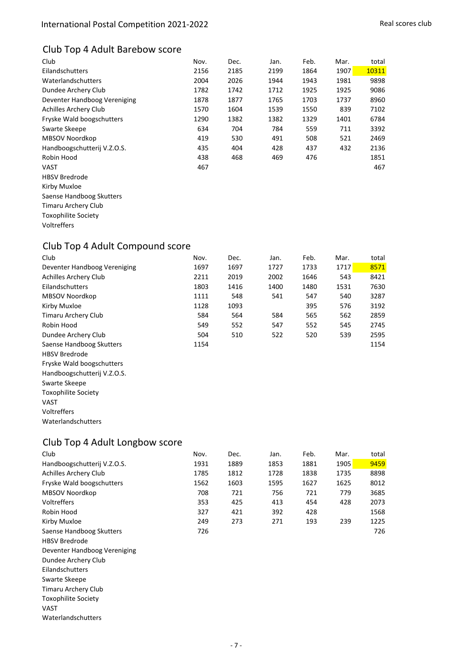## Club Top 4 Adult Barebow score

| Club                         | Nov. | Dec. | Jan. | Feb. | Mar. | total |
|------------------------------|------|------|------|------|------|-------|
| Eilandschutters              | 2156 | 2185 | 2199 | 1864 | 1907 | 10311 |
| Waterlandschutters           | 2004 | 2026 | 1944 | 1943 | 1981 | 9898  |
| Dundee Archery Club          | 1782 | 1742 | 1712 | 1925 | 1925 | 9086  |
| Deventer Handboog Vereniging | 1878 | 1877 | 1765 | 1703 | 1737 | 8960  |
| Achilles Archery Club        | 1570 | 1604 | 1539 | 1550 | 839  | 7102  |
| Fryske Wald boogschutters    | 1290 | 1382 | 1382 | 1329 | 1401 | 6784  |
| Swarte Skeepe                | 634  | 704  | 784  | 559  | 711  | 3392  |
| MBSOV Noordkop               | 419  | 530  | 491  | 508  | 521  | 2469  |
| Handboogschutterij V.Z.O.S.  | 435  | 404  | 428  | 437  | 432  | 2136  |
| Robin Hood                   | 438  | 468  | 469  | 476  |      | 1851  |
| <b>VAST</b>                  | 467  |      |      |      |      | 467   |
| <b>HBSV Bredrode</b>         |      |      |      |      |      |       |
| Kirby Muxloe                 |      |      |      |      |      |       |
| Saense Handboog Skutters     |      |      |      |      |      |       |
| Timaru Archery Club          |      |      |      |      |      |       |
| <b>Toxophilite Society</b>   |      |      |      |      |      |       |
| Voltreffers                  |      |      |      |      |      |       |
|                              |      |      |      |      |      |       |

## Club Top 4 Adult Compound score

| Club                         | Nov. | Dec. | Jan. | Feb. | Mar. | total |
|------------------------------|------|------|------|------|------|-------|
| Deventer Handboog Vereniging | 1697 | 1697 | 1727 | 1733 | 1717 | 8571  |
| Achilles Archery Club        | 2211 | 2019 | 2002 | 1646 | 543  | 8421  |
| Eilandschutters              | 1803 | 1416 | 1400 | 1480 | 1531 | 7630  |
| MBSOV Noordkop               | 1111 | 548  | 541  | 547  | 540  | 3287  |
| Kirby Muxloe                 | 1128 | 1093 |      | 395  | 576  | 3192  |
| Timaru Archery Club          | 584  | 564  | 584  | 565  | 562  | 2859  |
| Robin Hood                   | 549  | 552  | 547  | 552  | 545  | 2745  |
| Dundee Archery Club          | 504  | 510  | 522  | 520  | 539  | 2595  |
| Saense Handboog Skutters     | 1154 |      |      |      |      | 1154  |
| <b>HBSV Bredrode</b>         |      |      |      |      |      |       |
| Fryske Wald boogschutters    |      |      |      |      |      |       |
| Handboogschutterij V.Z.O.S.  |      |      |      |      |      |       |
| Swarte Skeepe                |      |      |      |      |      |       |
| <b>Toxophilite Society</b>   |      |      |      |      |      |       |
| VAST                         |      |      |      |      |      |       |
| Voltreffers                  |      |      |      |      |      |       |
| Waterlandschutters           |      |      |      |      |      |       |

# Club Top 4 Adult Longbow score

| Club                         | Nov. | Dec. | Jan. | Feb. | Mar. | total |
|------------------------------|------|------|------|------|------|-------|
| Handboogschutterij V.Z.O.S.  | 1931 | 1889 | 1853 | 1881 | 1905 | 9459  |
| Achilles Archery Club        | 1785 | 1812 | 1728 | 1838 | 1735 | 8898  |
| Fryske Wald boogschutters    | 1562 | 1603 | 1595 | 1627 | 1625 | 8012  |
| MBSOV Noordkop               | 708  | 721  | 756  | 721  | 779  | 3685  |
| Voltreffers                  | 353  | 425  | 413  | 454  | 428  | 2073  |
| Robin Hood                   | 327  | 421  | 392  | 428  |      | 1568  |
| Kirby Muxloe                 | 249  | 273  | 271  | 193  | 239  | 1225  |
| Saense Handboog Skutters     | 726  |      |      |      |      | 726   |
| <b>HBSV Bredrode</b>         |      |      |      |      |      |       |
| Deventer Handboog Vereniging |      |      |      |      |      |       |
| Dundee Archery Club          |      |      |      |      |      |       |
| Eilandschutters              |      |      |      |      |      |       |
| Swarte Skeepe                |      |      |      |      |      |       |
| <b>Timaru Archery Club</b>   |      |      |      |      |      |       |
| <b>Toxophilite Society</b>   |      |      |      |      |      |       |
| VAST                         |      |      |      |      |      |       |
| Waterlandschutters           |      |      |      |      |      |       |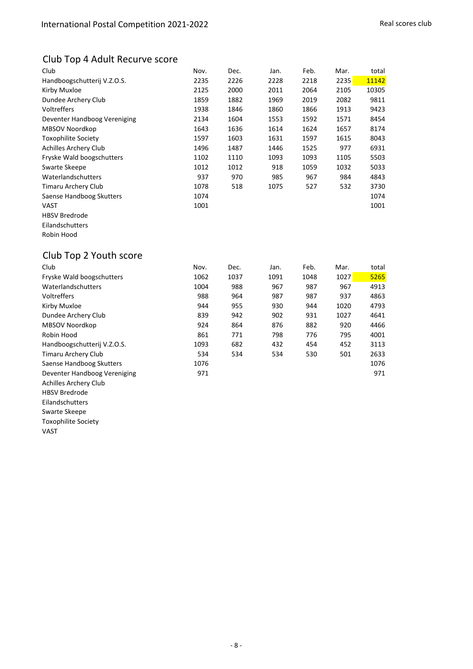## Club Top 4 Adult Recurve score

| Club                         | Nov. | Dec. | Jan. | Feb. | Mar. | total |
|------------------------------|------|------|------|------|------|-------|
| Handboogschutterij V.Z.O.S.  | 2235 | 2226 | 2228 | 2218 | 2235 | 11142 |
| Kirby Muxloe                 | 2125 | 2000 | 2011 | 2064 | 2105 | 10305 |
| Dundee Archery Club          | 1859 | 1882 | 1969 | 2019 | 2082 | 9811  |
| Voltreffers                  | 1938 | 1846 | 1860 | 1866 | 1913 | 9423  |
| Deventer Handboog Vereniging | 2134 | 1604 | 1553 | 1592 | 1571 | 8454  |
| MBSOV Noordkop               | 1643 | 1636 | 1614 | 1624 | 1657 | 8174  |
| <b>Toxophilite Society</b>   | 1597 | 1603 | 1631 | 1597 | 1615 | 8043  |
| Achilles Archery Club        | 1496 | 1487 | 1446 | 1525 | 977  | 6931  |
| Fryske Wald boogschutters    | 1102 | 1110 | 1093 | 1093 | 1105 | 5503  |
| Swarte Skeepe                | 1012 | 1012 | 918  | 1059 | 1032 | 5033  |
| Waterlandschutters           | 937  | 970  | 985  | 967  | 984  | 4843  |
| Timaru Archery Club          | 1078 | 518  | 1075 | 527  | 532  | 3730  |
| Saense Handboog Skutters     | 1074 |      |      |      |      | 1074  |
| VAST                         | 1001 |      |      |      |      | 1001  |
| <b>HBSV Bredrode</b>         |      |      |      |      |      |       |
| Eilandschutters              |      |      |      |      |      |       |
| Robin Hood                   |      |      |      |      |      |       |

## Club Top 2 Youth score

| Club                         | Nov. | Dec. | Jan. | Feb. | Mar. | total |
|------------------------------|------|------|------|------|------|-------|
| Fryske Wald boogschutters    | 1062 | 1037 | 1091 | 1048 | 1027 | 5265  |
| Waterlandschutters           | 1004 | 988  | 967  | 987  | 967  | 4913  |
| Voltreffers                  | 988  | 964  | 987  | 987  | 937  | 4863  |
| Kirby Muxloe                 | 944  | 955  | 930  | 944  | 1020 | 4793  |
| Dundee Archery Club          | 839  | 942  | 902  | 931  | 1027 | 4641  |
| MBSOV Noordkop               | 924  | 864  | 876  | 882  | 920  | 4466  |
| Robin Hood                   | 861  | 771  | 798  | 776  | 795  | 4001  |
| Handboogschutterij V.Z.O.S.  | 1093 | 682  | 432  | 454  | 452  | 3113  |
| Timaru Archery Club          | 534  | 534  | 534  | 530  | 501  | 2633  |
| Saense Handboog Skutters     | 1076 |      |      |      |      | 1076  |
| Deventer Handboog Vereniging | 971  |      |      |      |      | 971   |
| Achilles Archery Club        |      |      |      |      |      |       |
| <b>HBSV Bredrode</b>         |      |      |      |      |      |       |

- Eilandschutters
- Swarte Skeepe
- Toxophilite Society
- VAST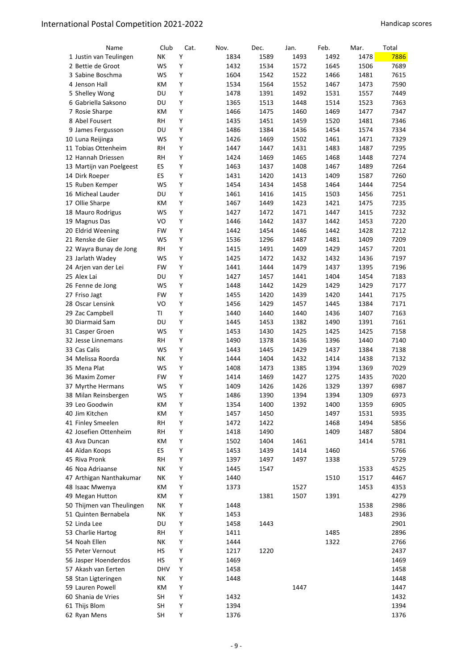| Name                      | Club       | Cat. | Nov.         | Dec.         | Jan.         | Feb.         | Mar.         | Total |
|---------------------------|------------|------|--------------|--------------|--------------|--------------|--------------|-------|
| 1 Justin van Teulingen    | NK         | Y    | 1834         | 1589         | 1493         | 1492         | 1478         | 7886  |
| 2 Bettie de Groot         | <b>WS</b>  | Υ    | 1432         | 1534         | 1572         | 1645         | 1506         | 7689  |
| 3 Sabine Boschma          | WS         | Υ    | 1604         | 1542         | 1522         | 1466         | 1481         | 7615  |
| 4 Jenson Hall             | ΚM         | Υ    | 1534         | 1564         | 1552         | 1467         | 1473         | 7590  |
| 5 Shelley Wong            | DU         | Υ    | 1478         | 1391         | 1492         | 1531         | 1557         | 7449  |
| 6 Gabriella Saksono       | DU         | Υ    | 1365         | 1513         | 1448         | 1514         | 1523         | 7363  |
| 7 Rosie Sharpe            | КM         | Υ    | 1466         | 1475         | 1460         | 1469         | 1477         | 7347  |
| 8 Abel Fousert            | RH         | Υ    | 1435         | 1451         | 1459         | 1520         | 1481         | 7346  |
| 9 James Fergusson         | DU         | Υ    | 1486         | 1384         | 1436         | 1454         | 1574         | 7334  |
| 10 Luna Reijinga          | WS         | Υ    | 1426         | 1469         | 1502         | 1461         | 1471         | 7329  |
| 11 Tobias Ottenheim       | RH         | Υ    | 1447         | 1447         | 1431         | 1483         | 1487         | 7295  |
| 12 Hannah Driessen        | <b>RH</b>  | Υ    | 1424         | 1469         | 1465         | 1468         | 1448         | 7274  |
| 13 Martijn van Poelgeest  | ES         | Υ    | 1463         | 1437         | 1408         | 1467         | 1489         | 7264  |
| 14 Dirk Roeper            | <b>ES</b>  | Y    | 1431         | 1420         | 1413         | 1409         | 1587         | 7260  |
| 15 Ruben Kemper           | WS         | Y    | 1454         | 1434         | 1458         | 1464         | 1444         | 7254  |
| 16 Micheal Lauder         | DU         | Υ    | 1461         | 1416         | 1415         | 1503         | 1456         | 7251  |
| 17 Ollie Sharpe           | ΚM         | Υ    | 1467         | 1449         | 1423         | 1421         | 1475         | 7235  |
| 18 Mauro Rodrigus         | WS         | Υ    | 1427         | 1472         | 1471         | 1447         | 1415         | 7232  |
| 19 Magnus Das             | VO         | Υ    | 1446         | 1442         | 1437         | 1442         | 1453         | 7220  |
| 20 Eldrid Weening         | FW         | Υ    | 1442         | 1454         | 1446         | 1442         | 1428         | 7212  |
| 21 Renske de Gier         | WS         | Υ    | 1536         | 1296         | 1487         | 1481         | 1409         | 7209  |
| 22 Wayra Bunay de Jong    | RH         | Υ    | 1415         | 1491         | 1409         | 1429         | 1457         | 7201  |
| 23 Jarlath Wadey          | WS         | Υ    | 1425         | 1472         | 1432         | 1432         | 1436         | 7197  |
| 24 Arjen van der Lei      | FW         | Υ    | 1441         | 1444         | 1479         | 1437         | 1395         | 7196  |
| 25 Alex Lai               | DU         | Υ    | 1427         | 1457         | 1441         | 1404         | 1454         | 7183  |
| 26 Fenne de Jong          | WS         | Υ    | 1448         | 1442         | 1429         | 1429         | 1429         | 7177  |
| 27 Friso Jagt             | FW         | Υ    | 1455         | 1420         | 1439         | 1420         | 1441         | 7175  |
| 28 Oscar Lensink          | VO         | Υ    | 1456         | 1429         | 1457         | 1445         | 1384         | 7171  |
| 29 Zac Campbell           | ΤI         | Υ    | 1440         | 1440         | 1440         | 1436         | 1407         | 7163  |
|                           |            | Υ    |              |              |              |              |              | 7161  |
| 30 Diarmaid Sam           | DU<br>WS   | Υ    | 1445<br>1453 | 1453<br>1430 | 1382<br>1425 | 1490<br>1425 | 1391<br>1425 | 7158  |
| 31 Casper Groen           |            | Υ    |              |              |              |              |              |       |
| 32 Jesse Linnemans        | RH         |      | 1490         | 1378         | 1436         | 1396         | 1440         | 7140  |
| 33 Cas Calis              | WS         | Υ    | 1443         | 1445         | 1429         | 1437         | 1384         | 7138  |
| 34 Melissa Roorda         | NΚ         | Υ    | 1444         | 1404         | 1432         | 1414         | 1438         | 7132  |
| 35 Mena Plat              | WS         | Υ    | 1408         | 1473         | 1385         | 1394         | 1369         | 7029  |
| 36 Maxim Zomer            | FW         | Y    | 1414         | 1469         | 1427         | 1275         | 1435         | 7020  |
| 37 Myrthe Hermans         | WS         | Υ    | 1409         | 1426         | 1426         | 1329         | 1397         | 6987  |
| 38 Milan Reinsbergen      | WS         | Υ    | 1486         | 1390         | 1394         | 1394         | 1309         | 6973  |
| 39 Leo Goodwin            | KM         | Υ    | 1354         | 1400         | 1392         | 1400         | 1359         | 6905  |
| 40 Jim Kitchen            | KM         | Υ    | 1457         | 1450         |              | 1497         | 1531         | 5935  |
| 41 Finley Smeelen         | RH         | Υ    | 1472         | 1422         |              | 1468         | 1494         | 5856  |
| 42 Josefien Ottenheim     | <b>RH</b>  | Υ    | 1418         | 1490         |              | 1409         | 1487         | 5804  |
| 43 Ava Duncan             | KM         | Υ    | 1502         | 1404         | 1461         |              | 1414         | 5781  |
| 44 Aïdan Koops            | <b>ES</b>  | Υ    | 1453         | 1439         | 1414         | 1460         |              | 5766  |
| 45 Riva Pronk             | <b>RH</b>  | Υ    | 1397         | 1497         | 1497         | 1338         |              | 5729  |
| 46 Noa Adriaanse          | NΚ         | Υ    | 1445         | 1547         |              |              | 1533         | 4525  |
| 47 Arthigan Nanthakumar   | NΚ         | Υ    | 1440         |              |              | 1510         | 1517         | 4467  |
| 48 Isaac Mwenya           | КM         | Υ    | 1373         |              | 1527         |              | 1453         | 4353  |
| 49 Megan Hutton           | КM         | Υ    |              | 1381         | 1507         | 1391         |              | 4279  |
| 50 Thijmen van Theulingen | NΚ         | Υ    | 1448         |              |              |              | 1538         | 2986  |
| 51 Quinten Bernabela      | NΚ         | Υ    | 1453         |              |              |              | 1483         | 2936  |
| 52 Linda Lee              | DU         | Υ    | 1458         | 1443         |              |              |              | 2901  |
| 53 Charlie Hartog         | RН         | Υ    | 1411         |              |              | 1485         |              | 2896  |
| 54 Noah Ellen             | NΚ         | Υ    | 1444         |              |              | 1322         |              | 2766  |
| 55 Peter Vernout          | HS         | Υ    | 1217         | 1220         |              |              |              | 2437  |
| 56 Jasper Hoenderdos      | HS         | Υ    | 1469         |              |              |              |              | 1469  |
| 57 Akash van Eerten       | <b>DHV</b> | Υ    | 1458         |              |              |              |              | 1458  |
| 58 Stan Ligteringen       | NΚ         | Υ    | 1448         |              |              |              |              | 1448  |
| 59 Lauren Powell          | KM         | Υ    |              |              | 1447         |              |              | 1447  |
| 60 Shania de Vries        | <b>SH</b>  | Υ    | 1432         |              |              |              |              | 1432  |
| 61 Thijs Blom             | <b>SH</b>  | Υ    | 1394         |              |              |              |              | 1394  |
| 62 Ryan Mens              | <b>SH</b>  | Υ    | 1376         |              |              |              |              | 1376  |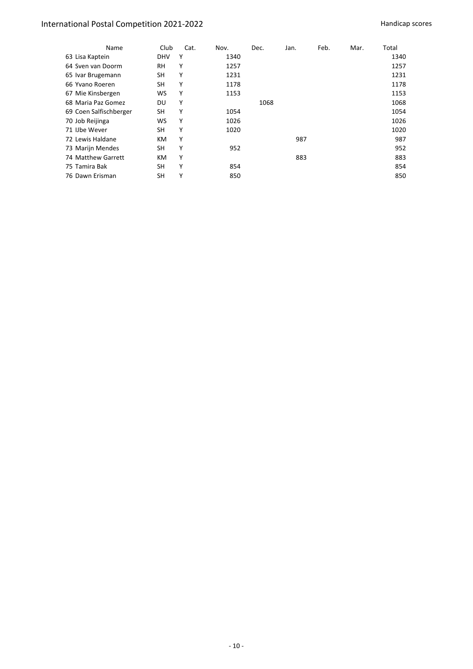| Name                   | Club       | Cat. | Nov. | Dec. | Jan. | Feb. | Mar. | Total |
|------------------------|------------|------|------|------|------|------|------|-------|
| 63 Lisa Kaptein        | <b>DHV</b> | Υ    | 1340 |      |      |      |      | 1340  |
| 64 Sven van Doorm      | RH         | Υ    | 1257 |      |      |      |      | 1257  |
| 65 Ivar Brugemann      | SН         | Υ    | 1231 |      |      |      |      | 1231  |
| 66 Yvano Roeren        | SH         | Υ    | 1178 |      |      |      |      | 1178  |
| 67 Mie Kinsbergen      | ws         | Υ    | 1153 |      |      |      |      | 1153  |
| 68 Maria Paz Gomez     | DU         | Υ    |      | 1068 |      |      |      | 1068  |
| 69 Coen Salfischberger | SН         | Υ    | 1054 |      |      |      |      | 1054  |
| 70 Job Reijinga        | ws         | Υ    | 1026 |      |      |      |      | 1026  |
| 71 IJbe Wever          | SH         | Υ    | 1020 |      |      |      |      | 1020  |
| 72 Lewis Haldane       | КM         | Υ    |      |      | 987  |      |      | 987   |
| 73 Marijn Mendes       | SH         | Υ    | 952  |      |      |      |      | 952   |
| 74 Matthew Garrett     | КM         | Υ    |      |      | 883  |      |      | 883   |
| 75 Tamira Bak          | SH         | Υ    | 854  |      |      |      |      | 854   |
| 76 Dawn Erisman        | SH         | Υ    | 850  |      |      |      |      | 850   |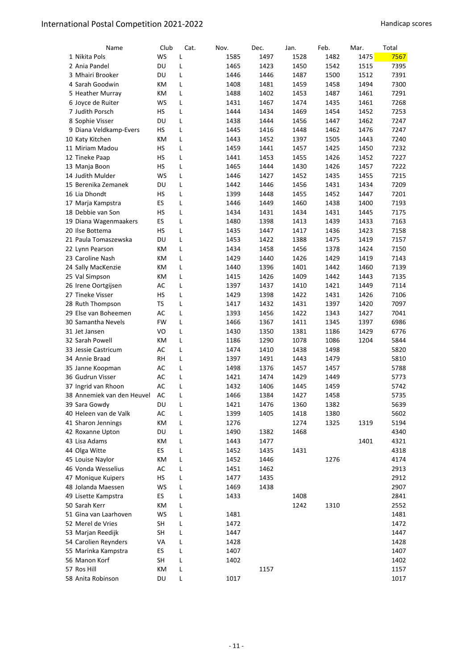| Name                       | Club      | Cat. | Nov. | Dec. | Jan. | Feb. | Mar. | Total |
|----------------------------|-----------|------|------|------|------|------|------|-------|
| 1 Nikita Pols              | <b>WS</b> | L    | 1585 | 1497 | 1528 | 1482 | 1475 | 7567  |
| 2 Ania Pandel              | DU        | L    | 1465 | 1423 | 1450 | 1542 | 1515 | 7395  |
| 3 Mhairi Brooker           | DU        | L    | 1446 | 1446 | 1487 | 1500 | 1512 | 7391  |
| 4 Sarah Goodwin            | КM        | L    | 1408 | 1481 | 1459 | 1458 | 1494 | 7300  |
| 5 Heather Murray           | КM        | L    | 1488 | 1402 | 1453 | 1487 | 1461 | 7291  |
| 6 Joyce de Ruiter          | WS        | L    | 1431 | 1467 | 1474 | 1435 | 1461 | 7268  |
| 7 Judith Porsch            | НS        | Г    | 1444 | 1434 | 1469 | 1454 | 1452 | 7253  |
| 8 Sophie Visser            | DU        | L    | 1438 | 1444 | 1456 | 1447 | 1462 | 7247  |
| 9 Diana Veldkamp-Evers     | НS        | L    | 1445 | 1416 | 1448 | 1462 | 1476 | 7247  |
| 10 Katy Kitchen            | КM        | L    | 1443 | 1452 | 1397 | 1505 | 1443 | 7240  |
| 11 Miriam Madou            | НS        | L    | 1459 | 1441 | 1457 | 1425 | 1450 | 7232  |
| 12 Tineke Paap             | НS        | L    | 1441 | 1453 | 1455 | 1426 | 1452 | 7227  |
| 13 Manja Boon              | НS        | L    | 1465 | 1444 | 1430 | 1426 | 1457 | 7222  |
| 14 Judith Mulder           | WS        | L    | 1446 | 1427 | 1452 | 1435 | 1455 | 7215  |
| 15 Berenika Zemanek        | DU        | L    | 1442 | 1446 | 1456 | 1431 | 1434 | 7209  |
| 16 Lia Dhondt              | НS        | L    | 1399 | 1448 | 1455 | 1452 | 1447 | 7201  |
| 17 Marja Kampstra          | ES        | L    | 1446 | 1449 | 1460 | 1438 | 1400 | 7193  |
| 18 Debbie van Son          | НS        | L    | 1434 | 1431 | 1434 | 1431 | 1445 | 7175  |
| 19 Diana Wagenmaakers      | ES        | L    | 1480 | 1398 | 1413 | 1439 | 1433 | 7163  |
| 20 Ilse Bottema            | НS        | L    | 1435 | 1447 | 1417 | 1436 | 1423 | 7158  |
| 21 Paula Tomaszewska       | DU        | L    | 1453 | 1422 | 1388 | 1475 | 1419 | 7157  |
| 22 Lynn Pearson            | КM        | L    | 1434 | 1458 | 1456 | 1378 | 1424 | 7150  |
| 23 Caroline Nash           | КM        | L    | 1429 | 1440 | 1426 | 1429 | 1419 | 7143  |
| 24 Sally MacKenzie         | КM        | L    | 1440 | 1396 | 1401 | 1442 | 1460 | 7139  |
| 25 Val Simpson             | КM        | L    | 1415 | 1426 | 1409 | 1442 | 1443 | 7135  |
| 26 Irene Oortgijsen        | AC        | L    | 1397 | 1437 | 1410 | 1421 | 1449 | 7114  |
| 27 Tineke Visser           | НS        | L    | 1429 | 1398 | 1422 | 1431 | 1426 | 7106  |
| 28 Ruth Thompson           | TS        | L    | 1417 | 1432 | 1431 | 1397 | 1420 | 7097  |
| 29 Else van Boheemen       | AC        | L    | 1393 | 1456 | 1422 | 1343 | 1427 | 7041  |
| 30 Samantha Nevels         | FW        | L    | 1466 | 1367 | 1411 | 1345 | 1397 | 6986  |
| 31 Jet Jansen              | VO        | L    | 1430 | 1350 | 1381 | 1186 | 1429 | 6776  |
| 32 Sarah Powell            | КM        | L    | 1186 | 1290 | 1078 | 1086 | 1204 | 5844  |
| 33 Jessie Castricum        | AC        | L    | 1474 | 1410 | 1438 | 1498 |      | 5820  |
| 34 Annie Braad             | RH        | L    | 1397 | 1491 | 1443 | 1479 |      | 5810  |
| 35 Janne Koopman           | AC        | L    | 1498 | 1376 | 1457 | 1457 |      | 5788  |
| 36 Gudrun Visser           | AC        | L    | 1421 | 1474 | 1429 | 1449 |      | 5773  |
| 37 Ingrid van Rhoon        | AC        | L    | 1432 | 1406 | 1445 | 1459 |      | 5742  |
| 38 Annemiek van den Heuvel | AC        | L    | 1466 | 1384 | 1427 | 1458 |      | 5735  |
| 39 Sara Gowdy              | DU        | L    | 1421 | 1476 | 1360 | 1382 |      | 5639  |
| 40 Heleen van de Valk      | AC        | L    | 1399 | 1405 | 1418 | 1380 |      | 5602  |
| 41 Sharon Jennings         | KM        | L    | 1276 |      | 1274 | 1325 | 1319 | 5194  |
| 42 Roxanne Upton           | DU        | L    | 1490 | 1382 | 1468 |      |      | 4340  |
| 43 Lisa Adams              | КM        | L    | 1443 | 1477 |      |      | 1401 | 4321  |
| 44 Olga Witte              | ES        | Г    | 1452 | 1435 | 1431 |      |      | 4318  |
| 45 Louise Naylor           | КM        | L    | 1452 | 1446 |      | 1276 |      | 4174  |
| 46 Vonda Wesselius         | AC        | L    | 1451 | 1462 |      |      |      | 2913  |
| 47 Monique Kuipers         | HS        | L    | 1477 | 1435 |      |      |      | 2912  |
| 48 Jolanda Maessen         | WS        | L    | 1469 | 1438 |      |      |      | 2907  |
| 49 Lisette Kampstra        | ES        | Г    | 1433 |      | 1408 |      |      | 2841  |
| 50 Sarah Kerr              | КM        | Г    |      |      | 1242 | 1310 |      | 2552  |
| 51 Gina van Laarhoven      | WS        | L    | 1481 |      |      |      |      | 1481  |
| 52 Merel de Vries          | SH        | L    | 1472 |      |      |      |      | 1472  |
| 53 Marjan Reedijk          | SΗ        | Г    | 1447 |      |      |      |      | 1447  |
| 54 Carolien Reynders       | VA        | Г    | 1428 |      |      |      |      | 1428  |
| 55 Marinka Kampstra        | ES        | Г    | 1407 |      |      |      |      | 1407  |
| 56 Manon Korf              | SH        | Г    | 1402 |      |      |      |      | 1402  |
| 57 Ros Hill                | КM        | L    |      | 1157 |      |      |      | 1157  |
| 58 Anita Robinson          | DU        | L    | 1017 |      |      |      |      | 1017  |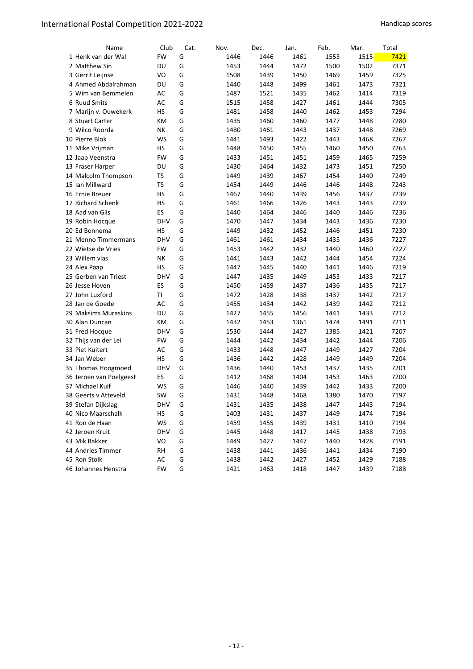| Name                    | Club       | Cat. | Nov. | Dec. | Jan. | Feb. | Mar. | Total |
|-------------------------|------------|------|------|------|------|------|------|-------|
| 1 Henk van der Wal      | <b>FW</b>  | G    | 1446 | 1446 | 1461 | 1553 | 1515 | 7421  |
| 2 Matthew Sin           | DU         | G    | 1453 | 1444 | 1472 | 1500 | 1502 | 7371  |
| 3 Gerrit Leijnse        | VO         | G    | 1508 | 1439 | 1450 | 1469 | 1459 | 7325  |
| 4 Ahmed Abdalrahman     | DU         | G    | 1440 | 1448 | 1499 | 1461 | 1473 | 7321  |
| 5 Wim van Bemmelen      | AC         | G    | 1487 | 1521 | 1435 | 1462 | 1414 | 7319  |
| 6 Ruud Smits            | AC         | G    | 1515 | 1458 | 1427 | 1461 | 1444 | 7305  |
| 7 Marijn v. Ouwekerk    | HS         | G    | 1481 | 1458 | 1440 | 1462 | 1453 | 7294  |
| 8 Stuart Carter         | КM         | G    | 1435 | 1460 | 1460 | 1477 | 1448 | 7280  |
| 9 Wilco Roorda          | NΚ         | G    | 1480 | 1461 | 1443 | 1437 | 1448 | 7269  |
| 10 Pierre Blok          | WS         | G    | 1441 | 1493 | 1422 | 1443 | 1468 | 7267  |
| 11 Mike Vrijman         | НS         | G    | 1448 | 1450 | 1455 | 1460 | 1450 | 7263  |
| 12 Jaap Veenstra        | FW         | G    | 1433 | 1451 | 1451 | 1459 | 1465 | 7259  |
| 13 Fraser Harper        | DU         | G    | 1430 | 1464 | 1432 | 1473 | 1451 | 7250  |
| 14 Malcolm Thompson     | <b>TS</b>  | G    | 1449 | 1439 | 1467 | 1454 | 1440 | 7249  |
| 15 Ian Millward         | <b>TS</b>  | G    | 1454 | 1449 | 1446 | 1446 | 1448 | 7243  |
| 16 Ernie Breuer         | НS         | G    | 1467 | 1440 | 1439 | 1456 | 1437 | 7239  |
| 17 Richard Schenk       | НS         | G    | 1461 | 1466 | 1426 | 1443 | 1443 | 7239  |
| 18 Aad van Gils         | <b>ES</b>  | G    | 1440 | 1464 | 1446 | 1440 | 1446 | 7236  |
| 19 Robin Hocque         | <b>DHV</b> | G    | 1470 | 1447 | 1434 | 1443 | 1436 | 7230  |
| 20 Ed Bonnema           | НS         | G    | 1449 | 1432 | 1452 | 1446 | 1451 | 7230  |
| 21 Menno Timmermans     | <b>DHV</b> | G    | 1461 | 1461 | 1434 | 1435 | 1436 | 7227  |
| 22 Wietse de Vries      | FW         | G    | 1453 | 1442 | 1432 | 1440 | 1460 | 7227  |
| 23 Willem vlas          | NΚ         | G    | 1441 | 1443 | 1442 | 1444 | 1454 | 7224  |
| 24 Alex Paap            | <b>HS</b>  | G    | 1447 | 1445 | 1440 | 1441 | 1446 | 7219  |
| 25 Gerben van Triest    | <b>DHV</b> | G    | 1447 | 1435 | 1449 | 1453 | 1433 | 7217  |
| 26 Jesse Hoven          | ES         | G    | 1450 | 1459 | 1437 | 1436 | 1435 | 7217  |
| 27 John Luxford         | ΤI         | G    | 1472 | 1428 | 1438 | 1437 | 1442 | 7217  |
| 28 Jan de Goede         | AC         | G    | 1455 | 1434 | 1442 | 1439 | 1442 | 7212  |
| 29 Maksims Muraskins    | DU         | G    | 1427 | 1455 | 1456 | 1441 | 1433 | 7212  |
| 30 Alan Duncan          | КM         | G    | 1432 | 1453 | 1361 | 1474 | 1491 | 7211  |
| 31 Fred Hocque          | <b>DHV</b> | G    | 1530 | 1444 | 1427 | 1385 | 1421 | 7207  |
| 32 Thijs van der Lei    | FW         | G    | 1444 | 1442 | 1434 | 1442 | 1444 | 7206  |
| 33 Piet Kuitert         | AC         | G    | 1433 | 1448 | 1447 | 1449 | 1427 | 7204  |
| 34 Jan Weber            | НS         | G    | 1436 | 1442 | 1428 | 1449 | 1449 | 7204  |
| 35 Thomas Hoogmoed      | <b>DHV</b> | G    | 1436 | 1440 | 1453 | 1437 | 1435 | 7201  |
| 36 Jeroen van Poelgeest | ES         | G    | 1412 | 1468 | 1404 | 1453 | 1463 | 7200  |
| 37 Michael Kuif         | <b>WS</b>  | G    | 1446 | 1440 | 1439 | 1442 | 1433 | 7200  |
| 38 Geerts v Atteveld    | <b>SW</b>  | G    | 1431 | 1448 | 1468 | 1380 | 1470 | 7197  |
| 39 Stefan Dijkslag      | DHV        | G    | 1431 | 1435 | 1438 | 1447 | 1443 | 7194  |
| 40 Nico Maarschalk      | HS         | G    | 1403 | 1431 | 1437 | 1449 | 1474 | 7194  |
| 41 Ron de Haan          | WS         | G    | 1459 | 1455 | 1439 | 1431 | 1410 | 7194  |
| 42 Jeroen Kruit         | <b>DHV</b> | G    | 1445 | 1448 | 1417 | 1445 | 1438 | 7193  |
| 43 Mik Bakker           | VO         | G    | 1449 | 1427 | 1447 | 1440 | 1428 | 7191  |
| 44 Andries Timmer       | <b>RH</b>  | G    | 1438 | 1441 | 1436 | 1441 | 1434 | 7190  |
| 45 Ron Stolk            | AC         | G    | 1438 | 1442 | 1427 | 1452 | 1429 | 7188  |
| 46 Johannes Henstra     | FW         | G    | 1421 | 1463 | 1418 | 1447 | 1439 | 7188  |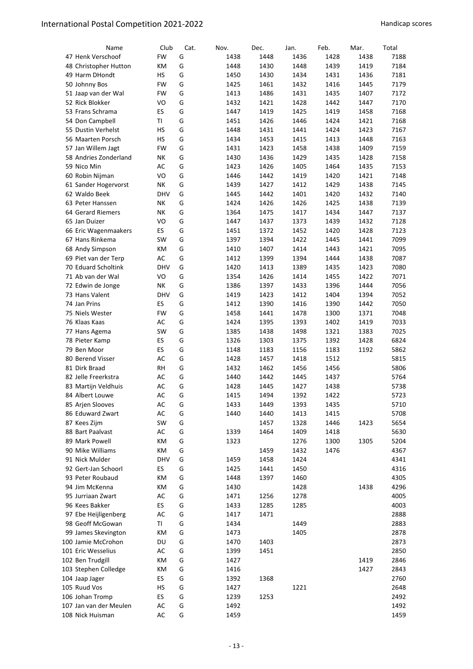| Name                   | Club       | Cat. | Nov. | Dec. | Jan. | Feb. | Mar. | Total |
|------------------------|------------|------|------|------|------|------|------|-------|
| 47 Henk Verschoof      | FW         | G    | 1438 | 1448 | 1436 | 1428 | 1438 | 7188  |
| 48 Christopher Hutton  | КM         | G    | 1448 | 1430 | 1448 | 1439 | 1419 | 7184  |
| 49 Harm DHondt         | НS         | G    | 1450 | 1430 | 1434 | 1431 | 1436 | 7181  |
| 50 Johnny Bos          | <b>FW</b>  | G    | 1425 | 1461 | 1432 | 1416 | 1445 | 7179  |
| 51 Jaap van der Wal    | FW         | G    | 1413 | 1486 | 1431 | 1435 | 1407 | 7172  |
| 52 Rick Blokker        | VO         | G    | 1432 | 1421 | 1428 | 1442 | 1447 | 7170  |
| 53 Frans Schrama       | ES         | G    | 1447 | 1419 | 1425 | 1419 | 1458 | 7168  |
| 54 Don Campbell        | TI         | G    | 1451 | 1426 | 1446 | 1424 | 1421 | 7168  |
| 55 Dustin Verhelst     | <b>HS</b>  | G    | 1448 | 1431 | 1441 | 1424 | 1423 | 7167  |
| 56 Maarten Porsch      | НS         | G    | 1434 | 1453 | 1415 | 1413 | 1448 | 7163  |
| 57 Jan Willem Jagt     | FW         | G    | 1431 | 1423 | 1458 | 1438 | 1409 | 7159  |
| 58 Andries Zonderland  | NΚ         | G    | 1430 | 1436 | 1429 | 1435 | 1428 | 7158  |
| 59 Nico Min            | AC         | G    | 1423 | 1426 | 1405 | 1464 | 1435 | 7153  |
| 60 Robin Nijman        | VO         | G    | 1446 | 1442 | 1419 | 1420 | 1421 | 7148  |
| 61 Sander Hogervorst   | NΚ         | G    | 1439 | 1427 | 1412 | 1429 | 1438 | 7145  |
| 62 Waldo Beek          | <b>DHV</b> | G    | 1445 | 1442 | 1401 | 1420 | 1432 | 7140  |
| 63 Peter Hanssen       | NΚ         | G    | 1424 | 1426 | 1426 | 1425 | 1438 | 7139  |
| 64 Gerard Riemers      | NΚ         | G    | 1364 | 1475 | 1417 | 1434 | 1447 | 7137  |
| 65 Jan Duizer          | VO         | G    | 1447 | 1437 | 1373 | 1439 | 1432 | 7128  |
| 66 Eric Wagenmaakers   | ES.        | G    | 1451 | 1372 | 1452 | 1420 | 1428 | 7123  |
| 67 Hans Rinkema        | SW         | G    | 1397 | 1394 | 1422 | 1445 | 1441 | 7099  |
| 68 Andy Simpson        | КM         | G    | 1410 | 1407 | 1414 | 1443 | 1421 | 7095  |
| 69 Piet van der Terp   | AC         | G    | 1412 | 1399 | 1394 | 1444 | 1438 | 7087  |
| 70 Eduard Scholtink    | <b>DHV</b> | G    | 1420 | 1413 | 1389 | 1435 | 1423 | 7080  |
| 71 Ab van der Wal      | VO         | G    | 1354 | 1426 | 1414 | 1455 | 1422 | 7071  |
| 72 Edwin de Jonge      | NΚ         | G    | 1386 | 1397 | 1433 | 1396 | 1444 | 7056  |
| 73 Hans Valent         | <b>DHV</b> | G    | 1419 | 1423 | 1412 | 1404 | 1394 | 7052  |
| 74 Jan Prins           | ES         | G    | 1412 | 1390 | 1416 | 1390 | 1442 | 7050  |
| 75 Niels Wester        | <b>FW</b>  | G    | 1458 | 1441 | 1478 | 1300 | 1371 | 7048  |
| 76 Klaas Kaas          | AC         | G    | 1424 | 1395 | 1393 | 1402 | 1419 | 7033  |
| 77 Hans Agema          | SW         | G    | 1385 | 1438 | 1498 | 1321 | 1383 | 7025  |
| 78 Pieter Kamp         | <b>ES</b>  | G    | 1326 | 1303 | 1375 | 1392 | 1428 | 6824  |
| 79 Ben Moor            | ES         | G    | 1148 | 1183 | 1156 | 1183 | 1192 | 5862  |
| 80 Berend Visser       | AC         | G    | 1428 | 1457 | 1418 | 1512 |      | 5815  |
| 81 Dirk Braad          | RH         | G    | 1432 | 1462 | 1456 | 1456 |      | 5806  |
| 82 Jelle Freerkstra    | AC         | G    | 1440 | 1442 | 1445 | 1437 |      | 5764  |
| 83 Martijn Veldhuis    | AC         | G    | 1428 | 1445 | 1427 | 1438 |      | 5738  |
| 84 Albert Louwe        | AC         | G    | 1415 | 1494 | 1392 | 1422 |      | 5723  |
| 85 Arjen Slooves       | AC         | G    | 1433 | 1449 | 1393 | 1435 |      | 5710  |
| 86 Eduward Zwart       | AC         | G    | 1440 | 1440 | 1413 | 1415 |      | 5708  |
| 87 Kees Zijm           | SW         | G    |      | 1457 | 1328 | 1446 | 1423 | 5654  |
| 88 Bart Paalvast       | AC         | G    | 1339 | 1464 | 1409 | 1418 |      | 5630  |
| 89 Mark Powell         | КM         | G    | 1323 |      | 1276 | 1300 | 1305 | 5204  |
| 90 Mike Williams       | КM         | G    |      | 1459 | 1432 | 1476 |      | 4367  |
| 91 Nick Mulder         | <b>DHV</b> | G    | 1459 | 1458 | 1424 |      |      | 4341  |
| 92 Gert-Jan Schoorl    | ES         | G    | 1425 | 1441 | 1450 |      |      | 4316  |
| 93 Peter Roubaud       | КM         | G    | 1448 | 1397 | 1460 |      |      | 4305  |
| 94 Jim McKenna         | КM         | G    | 1430 |      | 1428 |      | 1438 | 4296  |
| 95 Jurriaan Zwart      | AC         | G    | 1471 | 1256 | 1278 |      |      | 4005  |
| 96 Kees Bakker         | ES.        | G    | 1433 | 1285 | 1285 |      |      | 4003  |
| 97 Ebe Heijligenberg   | AC         | G    | 1417 | 1471 |      |      |      | 2888  |
| 98 Geoff McGowan       | ΤI         | G    | 1434 |      | 1449 |      |      | 2883  |
| 99 James Skevington    | КM         | G    | 1473 |      | 1405 |      |      | 2878  |
| 100 Jamie McCrohon     | DU         | G    | 1470 | 1403 |      |      |      | 2873  |
| 101 Eric Wesselius     | AC         | G    | 1399 | 1451 |      |      |      | 2850  |
| 102 Ben Trudgill       | КM         | G    | 1427 |      |      |      | 1419 | 2846  |
| 103 Stephen Colledge   | КM         | G    | 1416 |      |      |      | 1427 | 2843  |
| 104 Jaap Jager         | ES.        | G    | 1392 | 1368 |      |      |      | 2760  |
| 105 Ruud Vos           | HS         | G    | 1427 |      | 1221 |      |      | 2648  |
| 106 Johan Tromp        | ES         | G    | 1239 | 1253 |      |      |      | 2492  |
| 107 Jan van der Meulen | AC         | G    | 1492 |      |      |      |      | 1492  |
| 108 Nick Huisman       | AC         | G    | 1459 |      |      |      |      | 1459  |
|                        |            |      |      |      |      |      |      |       |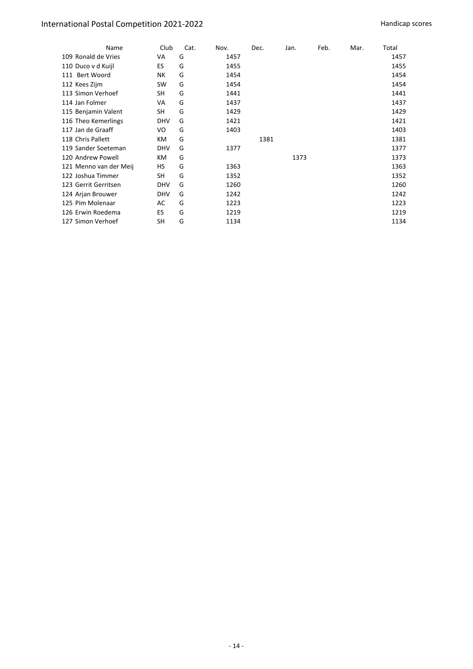| Name                   | Club       | Cat. | Nov. | Dec. | Jan. | Feb. | Mar. | Total |
|------------------------|------------|------|------|------|------|------|------|-------|
| 109 Ronald de Vries    | VA         | G    | 1457 |      |      |      |      | 1457  |
| 110 Duco v d Kuijl     | ES         | G    | 1455 |      |      |      |      | 1455  |
| 111 Bert Woord         | NΚ         | G    | 1454 |      |      |      |      | 1454  |
| 112 Kees Zijm          | <b>SW</b>  | G    | 1454 |      |      |      |      | 1454  |
| 113 Simon Verhoef      | SH         | G    | 1441 |      |      |      |      | 1441  |
| 114 Jan Folmer         | VA         | G    | 1437 |      |      |      |      | 1437  |
| 115 Benjamin Valent    | <b>SH</b>  | G    | 1429 |      |      |      |      | 1429  |
| 116 Theo Kemerlings    | <b>DHV</b> | G    | 1421 |      |      |      |      | 1421  |
| 117 Jan de Graaff      | VO         | G    | 1403 |      |      |      |      | 1403  |
| 118 Chris Pallett      | КM         | G    |      | 1381 |      |      |      | 1381  |
| 119 Sander Soeteman    | <b>DHV</b> | G    | 1377 |      |      |      |      | 1377  |
| 120 Andrew Powell      | КM         | G    |      |      | 1373 |      |      | 1373  |
| 121 Menno van der Meij | HS         | G    | 1363 |      |      |      |      | 1363  |
| 122 Joshua Timmer      | <b>SH</b>  | G    | 1352 |      |      |      |      | 1352  |
| 123 Gerrit Gerritsen   | <b>DHV</b> | G    | 1260 |      |      |      |      | 1260  |
| 124 Arjan Brouwer      | <b>DHV</b> | G    | 1242 |      |      |      |      | 1242  |
| 125 Pim Molenaar       | AC         | G    | 1223 |      |      |      |      | 1223  |
| 126 Erwin Roedema      | ES         | G    | 1219 |      |      |      |      | 1219  |
| 127 Simon Verhoef      | SH         | G    | 1134 |      |      |      |      | 1134  |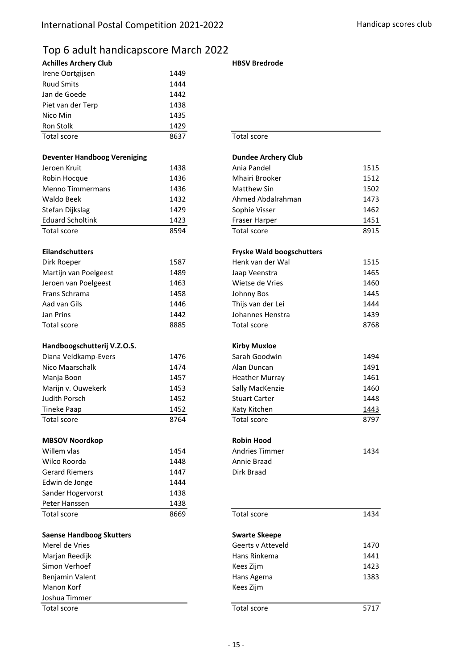## Top 6 adult handicapscore March 2022

| <b>Achilles Archery Club</b> |      |
|------------------------------|------|
| Irene Oortgijsen             | 1449 |
| <b>Ruud Smits</b>            | 1444 |
| Jan de Goede                 | 1442 |
| Piet van der Terp            | 1438 |
| Nico Min                     | 1435 |
| Ron Stolk                    | 1429 |
| Total score                  | 8637 |

#### **Deventer Handboog Vereniging**

| Jeroen Kruit            | 1438 |
|-------------------------|------|
| Robin Hocque            | 1436 |
| Menno Timmermans        | 1436 |
| Waldo Beek              | 1432 |
| Stefan Dijkslag         | 1429 |
| <b>Eduard Scholtink</b> | 1423 |
| Total score             | 8594 |

#### **Eilandschutters**

| Dirk Roeper           | 1587 |
|-----------------------|------|
| Martijn van Poelgeest | 1489 |
| Jeroen van Poelgeest  | 1463 |
| Frans Schrama         | 1458 |
| Aad van Gils          | 1446 |
| Jan Prins             | 1442 |
| Total score           | 8885 |

#### **Handboogschutterij V.Z.O.S.**

| Diana Veldkamp-Evers | 1476 |
|----------------------|------|
| Nico Maarschalk      | 1474 |
| Manja Boon           | 1457 |
| Marijn v. Ouwekerk   | 1453 |
| Judith Porsch        | 1452 |
| Tineke Paap          | 1452 |
| Total score          | 8764 |

#### **MBSOV Noordkop**

| Willem vlas           | 1454 |
|-----------------------|------|
| Wilco Roorda          | 1448 |
| <b>Gerard Riemers</b> | 1447 |
| Edwin de Jonge        | 1444 |
| Sander Hogervorst     | 1438 |
| Peter Hanssen         | 1438 |
| <b>Total score</b>    | 8669 |

#### **Saense Handboog Skutters**

Benjamin Valent 1383 (1383) Senjamin Valent 1383 (1383) Manon Korf Joshua Timmer

#### **HBSV Bredrode**

#### Total score

## Jeroen Kruit 1438 1515 Ania Pandel Robin Hocque 1436 1512 Mhairi Brooker Menno Timmermans **1436** 1436 **1502** Matthew Sin 1502 Waldo Beek 1432 1473 Ahmed Abdalrahman Stefan Dijkslag 1429 1462 Sophie Visser Eduard Scholtink 1423 1451 Fraser Harper Total score 8915 Dirk Roeper 1587 1515 Henk van der Wal Jaap Veenstra 1465 Wietse de Vries 1460 Johnny Bos 1445 Thijs van der Lei 1444 Johannes Henstra 1439 Total score 8885 Total score 8768 Sarah Goodwin 1494 Alan Duncan 1491 Heather Murray 1461 Sally MacKenzie 1460 Stuart Carter 1448 Katy Kitchen 1443 Total score 8797 Andries Timmer 1434 Annie Braad Dirk Braad Total score 8669 1434 Merel de Vries 1470 Geerts v Atteveld Marjan Reedijk 1441 van die seksembarjan van die koning van die koning van die 1441 van die 1441 van die 1441 Simon Verhoef **1423 1423 Fryske Wald boogschutters Kirby Muxloe Robin Hood** Hans Rinkema Kees Zijm **Swarte Skeepe Dundee Archery Club**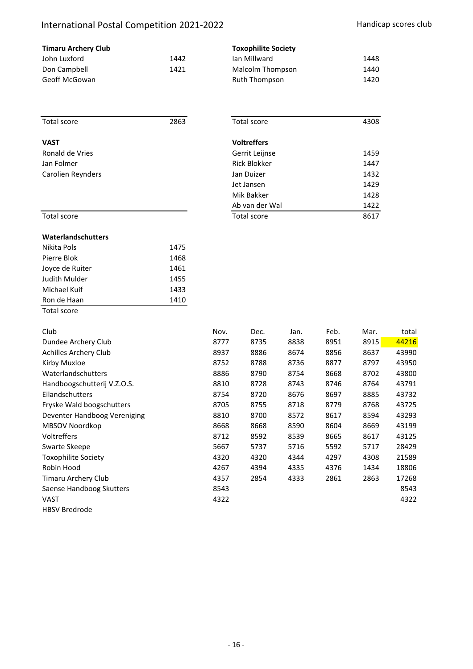# International Postal Competition 2021-2022 Handicap scores club

| <b>Timaru Archery Club</b> |      | <b>Toxophilite Society</b> |      |  |  |  |
|----------------------------|------|----------------------------|------|--|--|--|
| John Luxford               | 1442 | lan Millward               | 1448 |  |  |  |
| Don Campbell               | 1421 | Malcolm Thompson           | 1440 |  |  |  |
| Geoff McGowan              |      | Ruth Thompson              | 1420 |  |  |  |

| Total score                  | 2863 |                          | Total score         |      |      | 4308 |       |
|------------------------------|------|--------------------------|---------------------|------|------|------|-------|
| <b>VAST</b>                  |      |                          | <b>Voltreffers</b>  |      |      |      |       |
| Ronald de Vries              |      | Gerrit Leijnse           |                     |      |      |      |       |
| Jan Folmer                   |      |                          | <b>Rick Blokker</b> |      |      |      |       |
| Carolien Reynders            |      | Jan Duizer               |                     |      | 1432 |      |       |
|                              |      | Jet Jansen<br>Mik Bakker |                     |      | 1429 |      |       |
|                              |      |                          |                     |      | 1428 |      |       |
|                              |      | Ab van der Wal           |                     |      |      | 1422 |       |
| Total score                  |      | Total score              |                     |      |      | 8617 |       |
| Waterlandschutters           |      |                          |                     |      |      |      |       |
| Nikita Pols                  | 1475 |                          |                     |      |      |      |       |
| Pierre Blok                  | 1468 |                          |                     |      |      |      |       |
| Joyce de Ruiter              | 1461 |                          |                     |      |      |      |       |
| Judith Mulder                | 1455 |                          |                     |      |      |      |       |
| Michael Kuif                 | 1433 |                          |                     |      |      |      |       |
| Ron de Haan                  | 1410 |                          |                     |      |      |      |       |
| Total score                  |      |                          |                     |      |      |      |       |
| Club                         |      | Nov.                     | Dec.                | Jan. | Feb. | Mar. | total |
| Dundee Archery Club          |      | 8777                     | 8735                | 8838 | 8951 | 8915 | 44216 |
| <b>Achilles Archery Club</b> |      | 8937                     | 8886                | 8674 | 8856 | 8637 | 43990 |
| Kirby Muxloe                 |      | 8752                     | 8788                | 8736 | 8877 | 8797 | 43950 |
| Waterlandschutters           |      | 8886                     | 8790                | 8754 | 8668 | 8702 | 43800 |
| Handboogschutterij V.Z.O.S.  |      | 8810                     | 8728                | 8743 | 8746 | 8764 | 43791 |
| Eilandschutters              |      | 8754                     | 8720                | 8676 | 8697 | 8885 | 43732 |
| Fryske Wald boogschutters    |      | 8705                     | 8755                | 8718 | 8779 | 8768 | 43725 |
| Deventer Handboog Vereniging |      | 8810                     | 8700                | 8572 | 8617 | 8594 | 43293 |
| MBSOV Noordkop               |      | 8668                     | 8668                | 8590 | 8604 | 8669 | 43199 |
| Voltreffers                  |      | 8712                     | 8592                | 8539 | 8665 | 8617 | 43125 |
| Swarte Skeepe                |      | 5667                     | 5737                | 5716 | 5592 | 5717 | 28429 |
| <b>Toxophilite Society</b>   |      | 4320                     | 4320                | 4344 | 4297 | 4308 | 21589 |
| Robin Hood                   |      | 4267                     | 4394                | 4335 | 4376 | 1434 | 18806 |
| Timaru Archery Club          |      | 4357                     | 2854                | 4333 | 2861 | 2863 | 17268 |
| Saense Handboog Skutters     |      | 8543                     |                     |      |      |      | 8543  |
| <b>VAST</b>                  |      | 4322                     |                     |      |      |      | 4322  |

HBSV Bredrode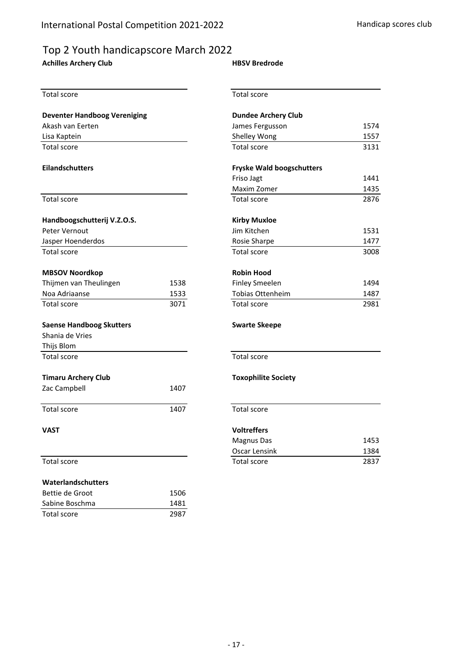# Top 2 Youth handicapscore March 2022

## **Achilles Archery Club**

#### **HBSV Bredrode**

| <b>Total score</b>                  |      | <b>Total score</b>               |      |  |  |  |
|-------------------------------------|------|----------------------------------|------|--|--|--|
| <b>Deventer Handboog Vereniging</b> |      | <b>Dundee Archery Club</b>       |      |  |  |  |
| Akash van Eerten                    |      | James Fergusson                  | 1574 |  |  |  |
| Lisa Kaptein                        |      | Shelley Wong                     | 1557 |  |  |  |
| <b>Total score</b>                  |      | <b>Total score</b>               |      |  |  |  |
| <b>Eilandschutters</b>              |      | <b>Fryske Wald boogschutters</b> |      |  |  |  |
|                                     |      | Friso Jagt                       | 1441 |  |  |  |
|                                     |      | Maxim Zomer                      | 1435 |  |  |  |
| Total score                         |      | <b>Total score</b>               |      |  |  |  |
| Handboogschutterij V.Z.O.S.         |      | <b>Kirby Muxloe</b>              |      |  |  |  |
| Peter Vernout                       |      |                                  | 1531 |  |  |  |
| Jasper Hoenderdos                   |      | Rosie Sharpe                     | 1477 |  |  |  |
| <b>Total score</b>                  |      | <b>Total score</b>               | 3008 |  |  |  |
| <b>MBSOV Noordkop</b>               |      | <b>Robin Hood</b>                |      |  |  |  |
| Thijmen van Theulingen              | 1538 | <b>Finley Smeelen</b>            | 1494 |  |  |  |
| Noa Adriaanse                       | 1533 | <b>Tobias Ottenheim</b>          | 1487 |  |  |  |
| Total score                         | 3071 | Total score                      | 2981 |  |  |  |
| <b>Saense Handboog Skutters</b>     |      | <b>Swarte Skeepe</b>             |      |  |  |  |
| Shania de Vries                     |      |                                  |      |  |  |  |
| Thijs Blom                          |      |                                  |      |  |  |  |
| <b>Total score</b>                  |      | Total score                      |      |  |  |  |
| <b>Timaru Archery Club</b>          |      | <b>Toxophilite Society</b>       |      |  |  |  |
| Zac Campbell                        | 1407 |                                  |      |  |  |  |
| Total score                         | 1407 | Total score                      |      |  |  |  |
| <b>VAST</b>                         |      | <b>Voltreffers</b>               |      |  |  |  |
|                                     |      | <b>Magnus Das</b>                | 1453 |  |  |  |
|                                     |      | Oscar Lensink                    | 1384 |  |  |  |
| Total score                         |      | Total score                      | 2837 |  |  |  |
| Waterlandschutters                  |      |                                  |      |  |  |  |
| Bettie de Groot                     | 1506 |                                  |      |  |  |  |
| Sabine Boschma                      | 1481 |                                  |      |  |  |  |
| Total score                         | 2987 |                                  |      |  |  |  |